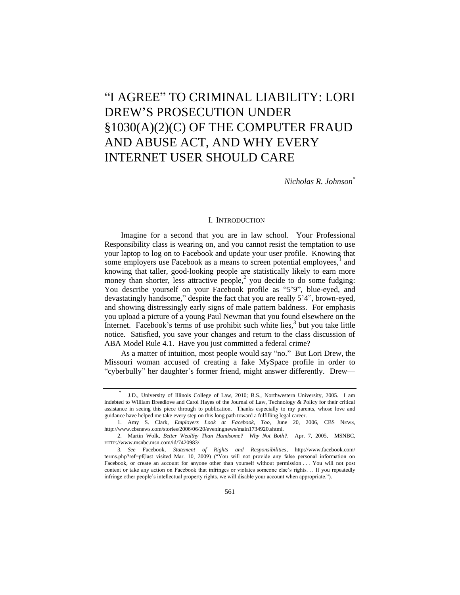# **"I AGREE" TO CRIMINAL LIABILITY: LORI** DREW'S PROSECUTION UNDER §1030(A)(2)(C) OF THE COMPUTER FRAUD AND ABUSE ACT, AND WHY EVERY INTERNET USER SHOULD CARE

*Nicholas R. Johnson\**

#### I. INTRODUCTION

Imagine for a second that you are in law school. Your Professional Responsibility class is wearing on, and you cannot resist the temptation to use your laptop to log on to Facebook and update your user profile. Knowing that some employers use Facebook as a means to screen potential employees, $<sup>1</sup>$  and</sup> knowing that taller, good-looking people are statistically likely to earn more money than shorter, less attractive people, $<sup>2</sup>$  you decide to do some fudging:</sup> You describe yourself on your Facebook profile as "5'9", blue-eyed, and devastatingly handsome," despite the fact that you are really 5'4", brown-eyed, and showing distressingly early signs of male pattern baldness. For emphasis you upload a picture of a young Paul Newman that you found elsewhere on the Internet. Facebook's terms of use prohibit such white lies, $3$  but you take little notice. Satisfied, you save your changes and return to the class discussion of ABA Model Rule 4.1. Have you just committed a federal crime?

As a matter of intuition, most people would say "no." But Lori Drew, the Missouri woman accused of creating a fake MySpace profile in order to "cyberbully" her daughter's former friend, might answer differently. Drew—

<sup>\*</sup> J.D., University of Illinois College of Law, 2010; B.S., Northwestern University, 2005. I am indebted to William Breedlove and Carol Hayes of the Journal of Law, Technology & Policy for their critical assistance in seeing this piece through to publication. Thanks especially to my parents, whose love and guidance have helped me take every step on this long path toward a fulfilling legal career.

<sup>1.</sup> Amy S. Clark, *Employers Look at Facebook, Too*, June 20, 2006, CBS NEWS, http://www.cbsnews.com/stories/2006/06/20/eveningnews/main1734920.shtml.

<sup>2.</sup> Martin Wolk, *Better Wealthy Than Handsome? Why Not Both?*, Apr. 7, 2005, MSNBC, HTTP://www.msnbc.msn.com/id/7420983/.

<sup>3</sup>*. See* Facebook, *Statement of Rights and Responsibilities*, http://www.facebook.com/ terms.php?ref=pf(last visited Mar. 10, 2009) ("You will not provide any false personal information on Facebook, or create an account for anyone other than yourself without permission . . . You will not post content or take any action on Facebook that infringes or violates someone else's rights. . . If you repeatedly infringe other people's intellectual property rights, we will disable your account when appropriate.").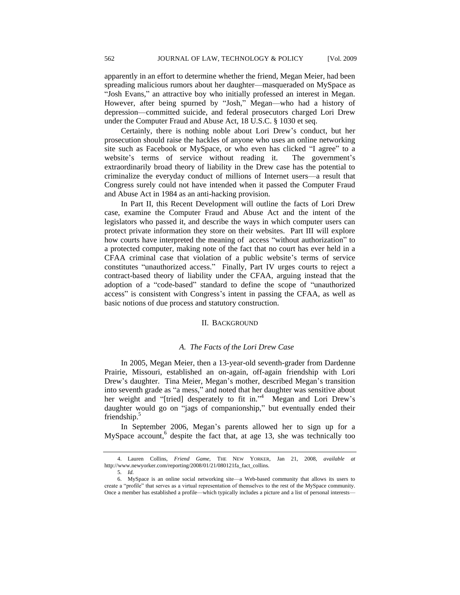apparently in an effort to determine whether the friend, Megan Meier, had been spreading malicious rumors about her daughter—masqueraded on MySpace as "Josh Evans," an attractive boy who initially professed an interest in Megan. However, after being spurned by "Josh," Megan—who had a history of depression—committed suicide, and federal prosecutors charged Lori Drew under the Computer Fraud and Abuse Act, 18 U.S.C. § 1030 et seq.

Certainly, there is nothing noble about Lori Drew's conduct, but her prosecution should raise the hackles of anyone who uses an online networking site such as Facebook or MySpace, or who even has clicked "I agree" to a website's terms of service without reading it. The government's extraordinarily broad theory of liability in the Drew case has the potential to criminalize the everyday conduct of millions of Internet users—a result that Congress surely could not have intended when it passed the Computer Fraud and Abuse Act in 1984 as an anti-hacking provision.

In Part II, this Recent Development will outline the facts of Lori Drew case, examine the Computer Fraud and Abuse Act and the intent of the legislators who passed it, and describe the ways in which computer users can protect private information they store on their websites. Part III will explore how courts have interpreted the meaning of access "without authorization" to a protected computer, making note of the fact that no court has ever held in a CFAA criminal case that violation of a public website's terms of service constitutes "unauthorized access." Finally, Part IV urges courts to reject a contract-based theory of liability under the CFAA, arguing instead that the adoption of a "code-based" standard to define the scope of "unauthorized access" is consistent with Congress's intent in passing the CFAA, as well as basic notions of due process and statutory construction.

#### II. BACKGROUND

## *A. The Facts of the Lori Drew Case*

In 2005, Megan Meier, then a 13-year-old seventh-grader from Dardenne Prairie, Missouri, established an on-again, off-again friendship with Lori Drew's daughter. Tina Meier, Megan's mother, described Megan's transition into seventh grade as "a mess," and noted that her daughter was sensitive about her weight and "[tried] desperately to fit in."<sup>4</sup> Megan and Lori Drew's daughter would go on "jags of companionship," but eventually ended their friendship.<sup>5</sup>

In September 2006, Megan's parents allowed her to sign up for a MySpace account,<sup>6</sup> despite the fact that, at age 13, she was technically too

<sup>4.</sup> Lauren Collins, *Friend Game,* THE NEW YORKER*,* Jan 21, 2008, *available at*  http://www.newyorker.com/reporting/2008/01/21/080121fa\_fact\_collins.

<sup>5</sup>*. Id.*

<sup>6.</sup> MySpace is an online social networking site—a Web-based community that allows its users to create a "profile" that serves as a virtual representation of themselves to the rest of the MySpace community. Once a member has established a profile—which typically includes a picture and a list of personal interests—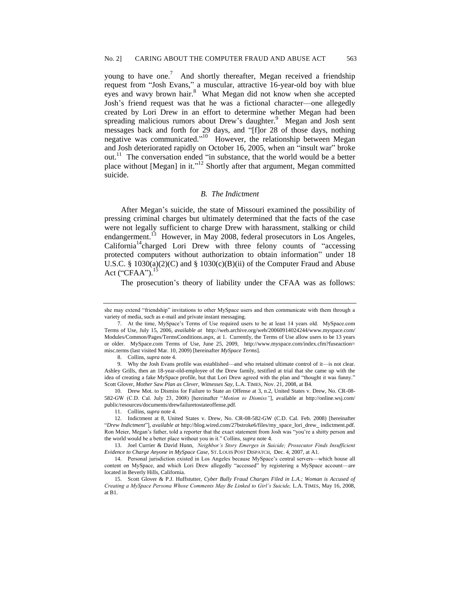young to have one.<sup>7</sup> And shortly thereafter, Megan received a friendship request from "Josh Evans," a muscular, attractive 16-year-old boy with blue eyes and wavy brown hair.<sup>8</sup> What Megan did not know when she accepted Josh's friend request was that he was a fictional character—one allegedly created by Lori Drew in an effort to determine whether Megan had been spreading malicious rumors about Drew's daughter.<sup>9</sup> Megan and Josh sent messages back and forth for 29 days, and "[f]or 28 of those days, nothing negative was communicated."<sup>10</sup> However, the relationship between Megan and Josh deteriorated rapidly on October 16, 2005, when an "insult war" broke out.<sup>11</sup> The conversation ended "in substance, that the world would be a better place without [Megan] in it."<sup>12</sup> Shortly after that argument, Megan committed suicide.

#### *B. The Indictment*

After Megan's suicide, the state of Missouri examined the possibility of pressing criminal charges but ultimately determined that the facts of the case were not legally sufficient to charge Drew with harassment, stalking or child endangerment.<sup>13</sup> However, in May 2008, federal prosecutors in Los Angeles,  $California<sup>14</sup> charged Lori Drew with three felony counts of "accessing"$ protected computers without authorization to obtain information" under 18 U.S.C. §  $1030(a)(2)(C)$  and §  $1030(c)(B)(ii)$  of the Computer Fraud and Abuse Act (" $CFAA$ ").<sup>1</sup>

The prosecution's theory of liability under the CFAA was as follows:

she may extend "friendship" invitations to other MySpace users and then communicate with them through a variety of media, such as e-mail and private instant messaging.

<sup>7.</sup> At the time, MySpace's Terms of Use required users to be at least 14 years old. MySpace.com Terms of Use, July 15, 2006*, available at* http://web.archive.org/web/20060914024244/www.myspace.com/ Modules/Common/Pages/TermsConditions.aspx, at 1. Currently, the Terms of Use allow users to be 13 years or older. MySpace.com Terms of Use, June 25, 2009, http://www.myspace.com/index.cfm?fuseaction= misc.terms (last visited Mar. 10, 2009) [hereinafter *MySpace Terms*].

<sup>8.</sup> Collins, *supra* note 4.

<sup>9.</sup> Why the Josh Evans profile was established—and who retained ultimate control of it—is not clear. Ashley Grills, then an 18-year-old-employee of the Drew family, testified at trial that she came up with the idea of creating a fake MySpace profile, but that Lori Drew agreed with the plan and "thought it was funny." Scott Glover, *Mother Saw Plan as Clever, Witnesses Say,* L.A. TIMES, Nov. 21, 2008, at B4.

<sup>10.</sup> Drew Mot. to Dismiss for Failure to State an Offense at 3, n.2, United States v. Drew, No. CR-08- 582-GW (C.D. Cal. July 23, 2008) [hereinafter "Motion to Dismiss"], available at http://online.wsj.com/ public/resources/documents/drewfailuretostateoffense.pdf.

<sup>11.</sup> Collins, *supra* note 4.

<sup>12.</sup> Indictment at 8, United States v. Drew, No. CR-08-582-GW (C.D. Cal. Feb. 2008) [hereinafter ―*Drew Indictment*‖], *available at* http://blog.wired.com/27bstroke6/files/my\_space\_lori\_drew\_ indictment.pdf. Ron Meier, Megan's father, told a reporter that the exact statement from Josh was "you're a shitty person and the world would be a better place without you in it.‖ Collins, *supra* note 4.

<sup>13.</sup> Joel Currier & David Hunn, *Neighbor's Story Emerges in Suicide; Prosecutor Finds Insufficient Evidence to Charge Anyone in MySpace Case,* ST. LOUIS POST DISPATCH, Dec. 4, 2007, at A1.

<sup>14.</sup> Personal jurisdiction existed in Los Angeles because MySpace's central servers—which house all content on MySpace, and which Lori Drew allegedly "accessed" by registering a MySpace account-are located in Beverly Hills, California.

<sup>15.</sup> Scott Glover & P.J. Huffstutter, *Cyber Bully Fraud Charges Filed in L.A.; Woman is Accused of Creating a MySpace Persona Whose Comments May Be Linked to Girl's Suicide,* L.A. TIMES, May 16, 2008, at B1.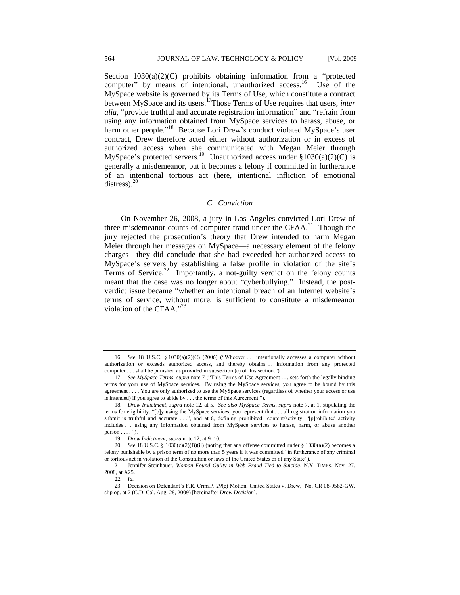Section  $1030(a)(2)(C)$  prohibits obtaining information from a "protected computer" by means of intentional, unauthorized access.<sup>16</sup> Use of the MySpace website is governed by its Terms of Use, which constitute a contract between MySpace and its users.<sup>17</sup>Those Terms of Use requires that users, *inter alia*, "provide truthful and accurate registration information" and "refrain from using any information obtained from MySpace services to harass, abuse, or harm other people."<sup>18</sup> Because Lori Drew's conduct violated MySpace's user contract, Drew therefore acted either without authorization or in excess of authorized access when she communicated with Megan Meier through MySpace's protected servers.<sup>19</sup> Unauthorized access under  $$1030(a)(2)(C)$  is generally a misdemeanor, but it becomes a felony if committed in furtherance of an intentional tortious act (here, intentional infliction of emotional distress). $20$ 

## *C. Conviction*

On November 26, 2008, a jury in Los Angeles convicted Lori Drew of three misdemeanor counts of computer fraud under the CFAA.<sup>21</sup> Though the jury rejected the prosecution's theory that Drew intended to harm Megan Meier through her messages on MySpace—a necessary element of the felony charges—they did conclude that she had exceeded her authorized access to MySpace's servers by establishing a false profile in violation of the site's Terms of Service.<sup>22</sup> Importantly, a not-guilty verdict on the felony counts meant that the case was no longer about "cyberbullying." Instead, the postverdict issue became "whether an intentional breach of an Internet website's terms of service, without more, is sufficient to constitute a misdemeanor violation of the CFAA."<sup>23</sup>

<sup>16.</sup> *See* 18 U.S.C. § 1030(a)(2)(C) (2006) ("Whoever . . . intentionally accesses a computer without authorization or exceeds authorized access, and thereby obtains... information from any protected computer . . . shall be punished as provided in subsection (c) of this section.").

<sup>17.</sup> See MySpace Terms, supra note 7 ("This Terms of Use Agreement . . . sets forth the legally binding terms for your use of MySpace services. By using the MySpace services, you agree to be bound by this agreement . . . . You are only authorized to use the MySpace services (regardless of whether your access or use is intended) if you agree to abide by . . . the terms of this Agreement.").

<sup>18</sup>*. Drew Indictment, supra* note 12, at 5. *See also MySpace Terms, supra* note 7, at 1, stipulating the terms for eligibility: "[b]y using the MySpace services, you represent that . . . all registration information you submit is truthful and accurate. . . .", and at 8, defining prohibited content/activity: "[p]rohibited activity includes . . . using any information obtained from MySpace services to harass, harm, or abuse another  $person \ldots$ ").

<sup>19</sup>*. Drew Indictment*, *supra* note 12, at 9–10.

<sup>20.</sup> *See* 18 U.S.C. § 1030(c)(2)(B)(ii) (noting that any offense committed under § 1030(a)(2) becomes a felony punishable by a prison term of no more than 5 years if it was committed "in furtherance of any criminal or tortious act in violation of the Constitution or laws of the United States or of any State‖).

<sup>21.</sup> Jennifer Steinhauer, *Woman Found Guilty in Web Fraud Tied to Suicide*, N.Y. TIMES*,* Nov. 27, 2008, at A25.

<sup>22</sup>*. Id.*

<sup>23.</sup> Decision on Defendant's F.R. Crim.P. 29(c) Motion, United States v. Drew*,* No. CR 08-0582-GW, slip op. at 2 (C.D. Cal. Aug. 28, 2009) [hereinafter *Drew Decision*]*.*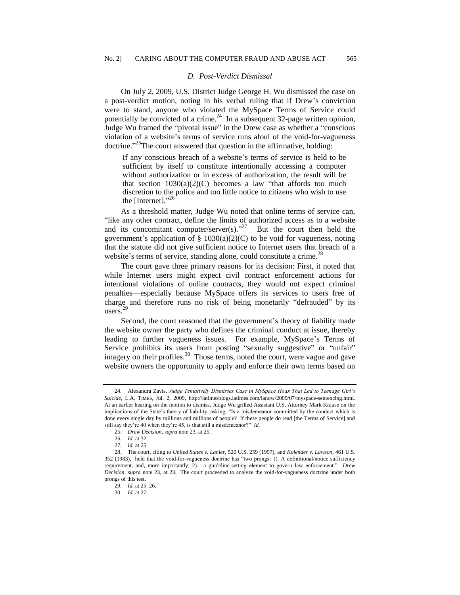#### *D. Post-Verdict Dismissal*

On July 2, 2009, U.S. District Judge George H. Wu dismissed the case on a post-verdict motion, noting in his verbal ruling that if Drew's conviction were to stand, anyone who violated the MySpace Terms of Service could potentially be convicted of a crime. $^{24}$  In a subsequent 32-page written opinion, Judge Wu framed the "pivotal issue" in the Drew case as whether a "conscious violation of a website's terms of service runs afoul of the void-for-vagueness doctrine."<sup>25</sup>The court answered that question in the affirmative, holding:

If any conscious breach of a website's terms of service is held to be sufficient by itself to constitute intentionally accessing a computer without authorization or in excess of authorization, the result will be that section  $1030(a)(2)(C)$  becomes a law "that affords too much discretion to the police and too little notice to citizens who wish to use the [Internet]. $^{326}$ 

As a threshold matter, Judge Wu noted that online terms of service can, ―like any other contract, define the limits of authorized access as to a website and its concomitant computer/server(s). $27$  But the court then held the government's application of  $\S$  1030(a)(2)(C) to be void for vagueness, noting that the statute did not give sufficient notice to Internet users that breach of a website's terms of service, standing alone, could constitute a crime.<sup>28</sup>

The court gave three primary reasons for its decision: First, it noted that while Internet users might expect civil contract enforcement actions for intentional violations of online contracts, they would not expect criminal penalties—especially because MySpace offers its services to users free of charge and therefore runs no risk of being monetarily "defrauded" by its users. 29

Second, the court reasoned that the government's theory of liability made the website owner the party who defines the criminal conduct at issue, thereby leading to further vagueness issues. For example, MySpace's Terms of Service prohibits its users from posting "sexually suggestive" or "unfair" imagery on their profiles.<sup>30</sup> Those terms, noted the court, were vague and gave website owners the opportunity to apply and enforce their own terms based on

<sup>24.</sup> Alexandra Zavis, *Judge Tentatively Dismisses Case in MySpace Hoax That Led to Teenage Girl's Suicide*, L.A. TIMES, Jul. 2, 2009, http://latimesblogs.latimes.com/lanow/2009/07/myspace-sentencing.html. At an earlier hearing on the motion to dismiss, Judge Wu grilled Assistant U.S. Attorney Mark Krause on the implications of the State's theory of liability, asking, "Is a misdemeanor committed by the conduct which is done every single day by millions and millions of people? If these people do read [the Terms of Service] and still say they're 40 when they're 45, is that still a misdemeanor?" Id.

<sup>25.</sup> *Drew Decision, supra* note 23, at 25.

<sup>26</sup>*. Id.* at 32.

<sup>27</sup>*. Id.* at 25.

<sup>28.</sup> The court, citing to *United States v. Lanier,* 520 U.S. 259 (1997), and *Kolender v. Lawson,* 461 U.S. 352 (1983), held that the void-for-vagueness doctrine has "two prongs: 1). A definitional/notice sufficiency requirement, and, more importantly, 2). a guideline-setting element to govern law enforcement." *Drew Decision*, *supra* note 23, at 23. The court proceeded to analyze the void-for-vagueness doctrine under both prongs of this test.

<sup>29</sup>*. Id.* at 25–26.

<sup>30</sup>*. Id.* at 27.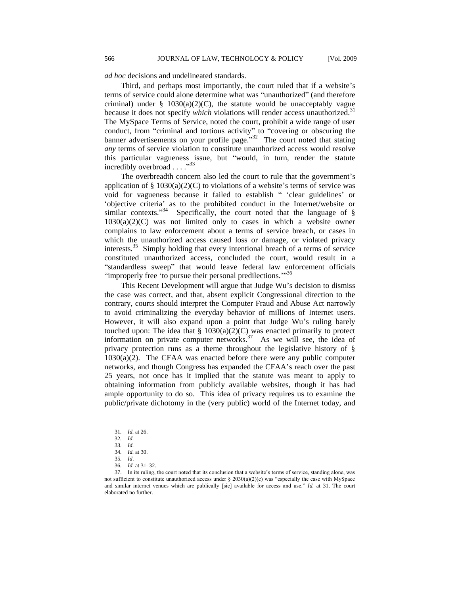*ad hoc* decisions and undelineated standards.

Third, and perhaps most importantly, the court ruled that if a website's terms of service could alone determine what was "unauthorized" (and therefore criminal) under  $\S$  1030(a)(2)(C), the statute would be unacceptably vague because it does not specify *which* violations will render access unauthorized.<sup>31</sup> The MySpace Terms of Service, noted the court, prohibit a wide range of user conduct, from "criminal and tortious activity" to "covering or obscuring the banner advertisements on your profile page.<sup>332</sup> The court noted that stating *any* terms of service violation to constitute unauthorized access would resolve this particular vagueness issue, but "would, in turn, render the statute incredibly overbroad . . . . "33

The overbreadth concern also led the court to rule that the government's application of §  $1030(a)(2)(C)$  to violations of a website's terms of service was void for vagueness because it failed to establish " 'clear guidelines' or ‗objective criteria' as to the prohibited conduct in the Internet/website or similar contexts."<sup>34</sup> Specifically, the court noted that the language of §  $1030(a)(2)(C)$  was not limited only to cases in which a website owner complains to law enforcement about a terms of service breach, or cases in which the unauthorized access caused loss or damage, or violated privacy interests.<sup>35</sup> Simply holding that every intentional breach of a terms of service constituted unauthorized access, concluded the court, would result in a "standardless sweep" that would leave federal law enforcement officials "improperly free 'to pursue their personal predilections."<sup>36</sup>

This Recent Development will argue that Judge Wu's decision to dismiss the case was correct, and that, absent explicit Congressional direction to the contrary, courts should interpret the Computer Fraud and Abuse Act narrowly to avoid criminalizing the everyday behavior of millions of Internet users. However, it will also expand upon a point that Judge Wu's ruling barely touched upon: The idea that  $\S$  1030(a)(2)(C) was enacted primarily to protect information on private computer networks.<sup>37</sup> As we will see, the idea of privacy protection runs as a theme throughout the legislative history of § 1030(a)(2). The CFAA was enacted before there were any public computer networks, and though Congress has expanded the CFAA's reach over the past 25 years, not once has it implied that the statute was meant to apply to obtaining information from publicly available websites, though it has had ample opportunity to do so. This idea of privacy requires us to examine the public/private dichotomy in the (very public) world of the Internet today, and

<sup>31</sup>*. Id.* at 26.

<sup>32</sup>*. Id.*

<sup>33</sup>*. Id.*

<sup>34</sup>*. Id.* at 30.

<sup>35</sup>*. Id*.

<sup>36</sup>*. Id.* at 31–32.

<sup>37.</sup> In its ruling, the court noted that its conclusion that a website's terms of service, standing alone, was not sufficient to constitute unauthorized access under  $\S 2030(a)(2)(c)$  was "especially the case with MySpace and similar internet venues which are publically [sic] available for access and use." *Id.* at 31. The court elaborated no further.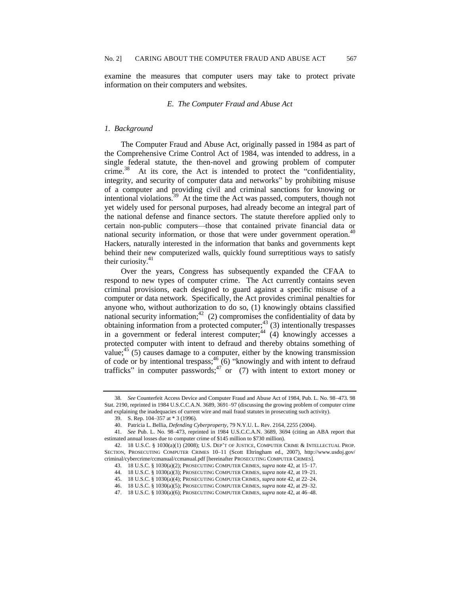examine the measures that computer users may take to protect private information on their computers and websites.

## *E. The Computer Fraud and Abuse Act*

#### *1. Background*

The Computer Fraud and Abuse Act, originally passed in 1984 as part of the Comprehensive Crime Control Act of 1984, was intended to address, in a single federal statute, the then-novel and growing problem of computer crime.<sup>38</sup> At its core, the Act is intended to protect the "confidentiality, integrity, and security of computer data and networks" by prohibiting misuse of a computer and providing civil and criminal sanctions for knowing or intentional violations.<sup>39</sup> At the time the Act was passed, computers, though not yet widely used for personal purposes, had already become an integral part of the national defense and finance sectors. The statute therefore applied only to certain non-public computers—those that contained private financial data or national security information, or those that were under government operation.<sup>4</sup> Hackers, naturally interested in the information that banks and governments kept behind their new computerized walls, quickly found surreptitious ways to satisfy their curiosity. $41$ 

Over the years, Congress has subsequently expanded the CFAA to respond to new types of computer crime. The Act currently contains seven criminal provisions, each designed to guard against a specific misuse of a computer or data network. Specifically, the Act provides criminal penalties for anyone who, without authorization to do so, (1) knowingly obtains classified national security information;<sup>42</sup> (2) compromises the confidentiality of data by obtaining information from a protected computer; $43$  (3) intentionally trespasses in a government or federal interest computer;<sup>44</sup> (4) knowingly accesses a protected computer with intent to defraud and thereby obtains something of value;<sup>45</sup> (5) causes damage to a computer, either by the knowing transmission of code or by intentional trespass;<sup>46</sup> (6) "knowingly and with intent to defraud trafficks" in computer passwords;<sup>47</sup> or (7) with intent to extort money or

<sup>38</sup>*. See* Counterfeit Access Device and Computer Fraud and Abuse Act of 1984, Pub. L. No. 98–473. 98 Stat. 2190, reprinted in 1984 U.S.C.C.A.N. 3689, 3691–97 (discussing the growing problem of computer crime and explaining the inadequacies of current wire and mail fraud statutes in prosecuting such activity).

<sup>39.</sup> S. Rep. 104–357 at \* 3 (1996).

<sup>40.</sup> Patricia L. Bellia, *Defending Cyberproperty,* 79 N.Y.U. L. Rev. 2164, 2255 (2004).

<sup>41</sup>*. See* Pub. L. No. 98–473, reprinted in 1984 U.S.C.C.A.N. 3689, 3694 (citing an ABA report that estimated annual losses due to computer crime of \$145 million to \$730 million).

<sup>42.</sup> 18 U.S.C. § 1030(a)(1) (2008); U.S. DEP'T OF JUSTICE, COMPUTER CRIME & INTELLECTUAL PROP. SECTION, PROSECUTING COMPUTER CRIMES 10–11 (Scott Eltringham ed., 2007), http://www.usdoj.gov/ criminal/cybercrime/ccmanual/ccmanual.pdf [hereinafter PROSECUTING COMPUTER CRIMES].

<sup>43.</sup> 18 U.S.C. § 1030(a)(2); PROSECUTING COMPUTER CRIMES, *supra* note 42, at 15–17.

<sup>44.</sup> 18 U.S.C. § 1030(a)(3); PROSECUTING COMPUTER CRIMES, *supra* note 42, at 19–21.

<sup>45.</sup> 18 U.S.C. § 1030(a)(4); PROSECUTING COMPUTER CRIMES, *supra* note 42, at 22–24.

<sup>46.</sup> 18 U.S.C. § 1030(a)(5); PROSECUTING COMPUTER CRIMES, *supra* note 42, at 29–32.

<sup>47.</sup> 18 U.S.C. § 1030(a)(6); PROSECUTING COMPUTER CRIMES, *supra* note 42, at 46–48.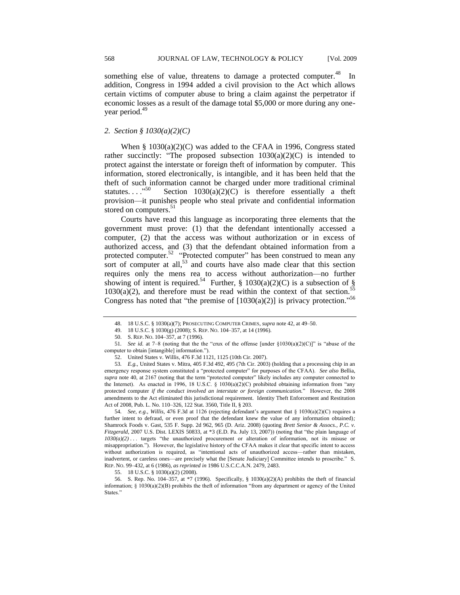something else of value, threatens to damage a protected computer.<sup>48</sup> In addition, Congress in 1994 added a civil provision to the Act which allows certain victims of computer abuse to bring a claim against the perpetrator if economic losses as a result of the damage total \$5,000 or more during any oneyear period.<sup>49</sup>

#### *2. Section § 1030(a)(2)(C)*

When § 1030(a)(2)(C) was added to the CFAA in 1996, Congress stated rather succinctly: "The proposed subsection  $1030(a)(2)(C)$  is intended to protect against the interstate or foreign theft of information by computer. This information, stored electronically, is intangible, and it has been held that the theft of such information cannot be charged under more traditional criminal statutes.  $\ldots$ <sup>50</sup> Section  $1030(a)(2)(C)$  is therefore essentially a theft provision—it punishes people who steal private and confidential information stored on computers.<sup>51</sup>

Courts have read this language as incorporating three elements that the government must prove: (1) that the defendant intentionally accessed a computer, (2) that the access was without authorization or in excess of authorized access, and (3) that the defendant obtained information from a protected computer.<sup>52</sup> "Protected computer" has been construed to mean any sort of computer at all,<sup>53</sup> and courts have also made clear that this section requires only the mens rea to access without authorization—no further showing of intent is required.<sup>54</sup> Further, § 1030(a)(2)(C) is a subsection of §  $1030(a)(2)$ , and therefore must be read within the context of that section.<sup>55</sup> Congress has noted that "the premise of  $[1030(a)(2)]$  is privacy protection."<sup>56</sup>

52. United States v. Willis, 476 F.3d 1121, 1125 (10th Cir. 2007).

54*. See, e.g., Willis,* 476 F.3d at 1126 (rejecting defendant's argument that § 1030(a)(2)(C) requires a further intent to defraud, or even proof that the defendant knew the value of any information obtained)*;*  Shamrock Foods v. Gast, 535 F. Supp. 2d 962, 965 (D. Ariz. 2008) (quoting *Brett Senior & Assocs., P.C. v. Fitzgerald*, 2007 U.S. Dist. LEXIS 50833, at \*3 (E.D. Pa. July 13, 2007)) (noting that "the plain language of *1030(a)(2)* . . . targets "the unauthorized procurement or alteration of information, not its misuse or misappropriation.‖). However, the legislative history of the CFAA makes it clear that specific intent to access without authorization is required, as "intentional acts of unauthorized access—rather than mistaken, inadvertent, or careless ones—are precisely what the [Senate Judiciary] Committee intends to proscribe." S. REP. NO. 99–432, at 6 (1986), *as reprinted in* 1986 U.S.C.C.A.N. 2479, 2483.

55. 18 U.S.C. § 1030(a)(2) (2008).

56. S. Rep. No. 104–357, at \*7 (1996). Specifically, § 1030(a)(2)(A) prohibits the theft of financial information;  $\S$  1030(a)(2)(B) prohibits the theft of information "from any department or agency of the United States."

<sup>48.</sup> 18 U.S.C. § 1030(a)(7); PROSECUTING COMPUTER CRIMES, *supra* note 42, at 49–50.

<sup>49.</sup> 18 U.S.C. § 1030(g) (2008); S. REP. NO. 104–357, at 14 (1996).

<sup>50.</sup> S. REP. NO. 104–357, at 7 (1996).

<sup>51.</sup> *See id.* at 7–8 (noting that the the "crux of the offense [under  $\S1030(a)(2)(C)$ ]" is "abuse of the computer to obtain [intangible] information.").

<sup>53</sup>*. E.g.,* United States v. Mitra, 405 F.3d 492, 495 (7th Cir. 2003) (holding that a processing chip in an emergency response system constituted a "protected computer" for purposes of the CFAA). *See also* Bellia, supra note 40, at 2167 (noting that the term "protected computer" likely includes any computer connected to the Internet). As enacted in 1996, 18 U.S.C. § 1030(a)(2)(C) prohibited obtaining information from "any protected computer *if the conduct involved an interstate or foreign communication.*‖ However, the 2008 amendments to the Act eliminated this jurisdictional requirement. Identity Theft Enforcement and Restitution Act of 2008, Pub. L. No. 110–326, 122 Stat. 3560, Title II, § 203.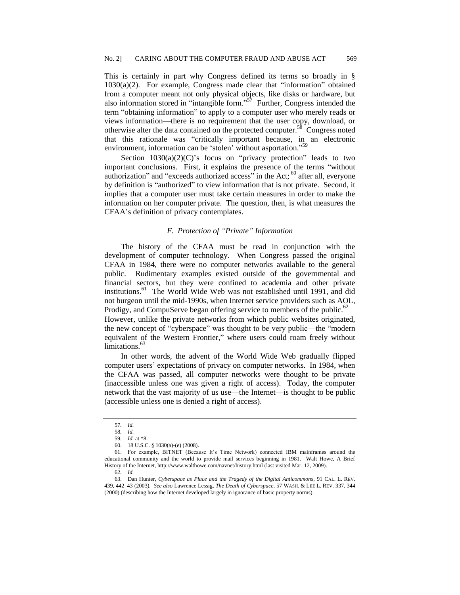This is certainly in part why Congress defined its terms so broadly in §  $1030(a)(2)$ . For example, Congress made clear that "information" obtained from a computer meant not only physical objects, like disks or hardware, but also information stored in "intangible form."<sup>57</sup> Further, Congress intended the term "obtaining information" to apply to a computer user who merely reads or views information—there is no requirement that the user copy, download, or otherwise alter the data contained on the protected computer.<sup>58</sup> Congress noted that this rationale was "critically important because, in an electronic environment, information can be 'stolen' without asportation."<sup>59</sup>

Section  $1030(a)(2)(C)$ 's focus on "privacy protection" leads to two important conclusions. First, it explains the presence of the terms "without authorization" and "exceeds authorized access" in the Act;  $^{60}$  after all, everyone by definition is "authorized" to view information that is not private. Second, it implies that a computer user must take certain measures in order to make the information on her computer private. The question, then, is what measures the CFAA's definition of privacy contemplates.

## *F. Protection of ―Private‖ Information*

The history of the CFAA must be read in conjunction with the development of computer technology. When Congress passed the original CFAA in 1984, there were no computer networks available to the general public. Rudimentary examples existed outside of the governmental and financial sectors, but they were confined to academia and other private institutions.<sup>61</sup> The World Wide Web was not established until 1991, and did not burgeon until the mid-1990s, when Internet service providers such as AOL, Prodigy, and CompuServe began offering service to members of the public. $62$ 

However, unlike the private networks from which public websites originated, the new concept of "cyberspace" was thought to be very public—the "modern equivalent of the Western Frontier," where users could roam freely without limitations.<sup>63</sup>

In other words, the advent of the World Wide Web gradually flipped computer users' expectations of privacy on computer networks. In 1984, when the CFAA was passed, all computer networks were thought to be private (inaccessible unless one was given a right of access). Today, the computer network that the vast majority of us use—the Internet—is thought to be public (accessible unless one is denied a right of access).

<sup>57</sup>*. Id.*

<sup>58</sup>*. Id.*

<sup>59</sup>*. Id.* at \*8.

<sup>60.</sup> 18 U.S.C. § 1030(a)-(e) (2008).

<sup>61.</sup> For example, BITNET (Because It's Time Network) connected IBM mainframes around the educational community and the world to provide mail services beginning in 1981. Walt Howe, A Brief History of the Internet, http://www.walthowe.com/navnet/history.html (last visited Mar. 12, 2009).

<sup>62</sup>*. Id.*

<sup>63.</sup> Dan Hunter, *Cyberspace as Place and the Tragedy of the Digital Anticommons*, 91 CAL. L. REV. 439, 442–43 (2003). *See also* Lawrence Lessig, *The Death of Cyberspace*, 57 WASH. & LEE L. REV. 337, 344 (2000) (describing how the Internet developed largely in ignorance of basic property norms).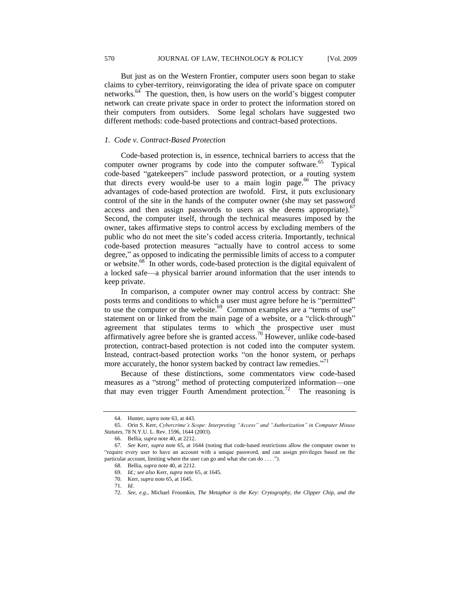But just as on the Western Frontier, computer users soon began to stake claims to cyber-territory, reinvigorating the idea of private space on computer networks.<sup>64</sup> The question, then, is how users on the world's biggest computer network can create private space in order to protect the information stored on their computers from outsiders. Some legal scholars have suggested two different methods: code-based protections and contract-based protections.

#### *1. Code v. Contract-Based Protection*

Code-based protection is, in essence, technical barriers to access that the computer owner programs by code into the computer software.<sup>65</sup> Typical code-based "gatekeepers" include password protection, or a routing system that directs every would-be user to a main login page.<sup>66</sup> The privacy advantages of code-based protection are twofold. First, it puts exclusionary control of the site in the hands of the computer owner (she may set password access and then assign passwords to users as she deems appropriate). $67$ Second, the computer itself, through the technical measures imposed by the owner, takes affirmative steps to control access by excluding members of the public who do not meet the site's coded access criteria. Importantly, technical code-based protection measures "actually have to control access to some degree," as opposed to indicating the permissible limits of access to a computer or website.<sup>68</sup> In other words, code-based protection is the digital equivalent of a locked safe—a physical barrier around information that the user intends to keep private.

In comparison, a computer owner may control access by contract: She posts terms and conditions to which a user must agree before he is "permitted" to use the computer or the website.<sup>69</sup> Common examples are a "terms of use" statement on or linked from the main page of a website, or a "click-through" agreement that stipulates terms to which the prospective user must affirmatively agree before she is granted access.<sup>70</sup> However, unlike code-based protection, contract-based protection is not coded into the computer system. Instead, contract-based protection works "on the honor system, or perhaps more accurately, the honor system backed by contract law remedies."<sup>71</sup>

Because of these distinctions, some commentators view code-based measures as a "strong" method of protecting computerized information—one that may even trigger Fourth Amendment protection.<sup>72</sup> The reasoning is

<sup>64.</sup> Hunter, *supra* note 63, at 443.

<sup>65.</sup> Orin S. Kerr, *Cybercrime's Scope: Interpreting "Access" and "Authorization" in Computer Misuse Statutes,* 78 N.Y.U. L. Rev. 1596, 1644 (2003).

<sup>66.</sup> Bellia, *supra* note 40, at 2212.

<sup>67</sup>*. See* Kerr, *supra* note 65, at 1644 (noting that code-based restrictions allow the computer owner to ―require every user to have an account with a unique password, and can assign privileges based on the particular account, limiting where the user can go and what she can do . . . .").

<sup>68.</sup> Bellia, *supra* note 40, at 2212*.*

<sup>69</sup>*. Id.; see also* Kerr, *supra* note 65, at 1645.

<sup>70.</sup> Kerr, *supra* note 65, at 1645.

<sup>71</sup>*. Id*.

<sup>72</sup>*. See, e.g.,* Michael Froomkin, *The Metaphor is the Key: Crytography, the Clipper Chip, and the*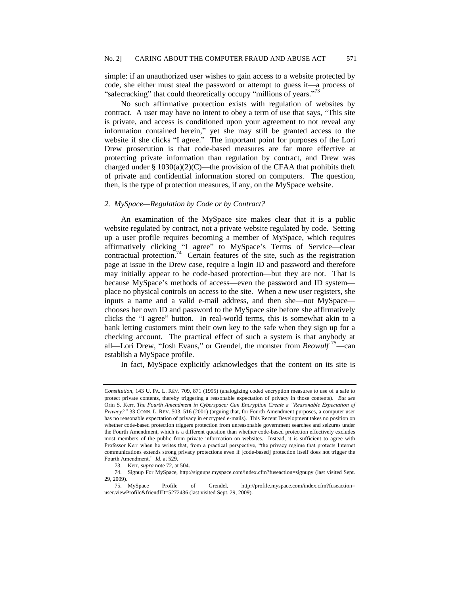simple: if an unauthorized user wishes to gain access to a website protected by code, she either must steal the password or attempt to guess it—a process of "safecracking" that could theoretically occupy "millions of years."<sup>73</sup>

No such affirmative protection exists with regulation of websites by contract. A user may have no intent to obey a term of use that says, "This site is private, and access is conditioned upon your agreement to not reveal any information contained herein," yet she may still be granted access to the website if she clicks "I agree." The important point for purposes of the Lori Drew prosecution is that code-based measures are far more effective at protecting private information than regulation by contract, and Drew was charged under  $\S$  1030(a)(2)(C)—the provision of the CFAA that prohibits theft of private and confidential information stored on computers. The question, then, is the type of protection measures, if any, on the MySpace website.

#### *2. MySpace—Regulation by Code or by Contract?*

An examination of the MySpace site makes clear that it is a public website regulated by contract, not a private website regulated by code. Setting up a user profile requires becoming a member of MySpace, which requires affirmatively clicking "I agree" to MySpace's Terms of Service-clear contractual protection.<sup>74</sup> Certain features of the site, such as the registration page at issue in the Drew case, require a login ID and password and therefore may initially appear to be code-based protection—but they are not. That is because MySpace's methods of access—even the password and ID system place no physical controls on access to the site. When a new user registers, she inputs a name and a valid e-mail address, and then she—not MySpace chooses her own ID and password to the MySpace site before she affirmatively clicks the "I agree" button. In real-world terms, this is somewhat akin to a bank letting customers mint their own key to the safe when they sign up for a checking account. The practical effect of such a system is that anybody at all—Lori Drew, "Josh Evans," or Grendel, the monster from *Beowulf* <sup>75</sup>—can establish a MySpace profile.

In fact, MySpace explicitly acknowledges that the content on its site is

*Constitution*, 143 U. PA. L. REV. 709, 871 (1995) (analogizing coded encryption measures to use of a safe to protect private contents, thereby triggering a reasonable expectation of privacy in those contents). *But see*  Orin S. Kerr, *The Fourth Amendment in Cyberspace: Can Encryption Create a "Reasonable Expectation of Privacy?‖* 33 CONN. L. REV. 503, 516 (2001) (arguing that, for Fourth Amendment purposes, a computer user has no reasonable expectation of privacy in encrypted e-mails). This Recent Development takes no position on whether code-based protection triggers protection from unreasonable government searches and seizures under the Fourth Amendment, which is a different question than whether code-based protection effectively excludes most members of the public from private information on websites. Instead, it is sufficient to agree with Professor Kerr when he writes that, from a practical perspective, "the privacy regime that protects Internet communications extends strong privacy protections even if [code-based] protection itself does not trigger the Fourth Amendment." *Id.* at 529.

<sup>73.</sup> Kerr*, supra* note 72, at 504.

<sup>74.</sup> Signup For MySpace, http://signups.myspace.com/index.cfm?fuseaction=signupy (last visited Sept. 29, 2009).

<sup>75.</sup> MySpace Profile of Grendel, http://profile.myspace.com/index.cfm?fuseaction= user.viewProfile&friendID=5272436 (last visited Sept. 29, 2009).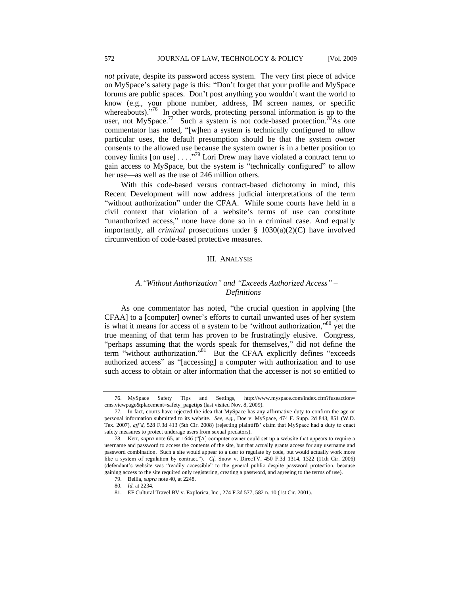*not* private, despite its password access system. The very first piece of advice on MySpace's safety page is this: "Don't forget that your profile and MySpace forums are public spaces. Don't post anything you wouldn't want the world to know (e.g., your phone number, address, IM screen names, or specific whereabouts).<sup> $576$ </sup> In other words, protecting personal information is up to the user, not MySpace.<sup>77</sup> Such a system is not code-based protection.<sup>78</sup>As one commentator has noted, "[w]hen a system is technically configured to allow particular uses, the default presumption should be that the system owner consents to the allowed use because the system owner is in a better position to convey limits [on use] . . . .  $\frac{1}{79}$  Lori Drew may have violated a contract term to gain access to MySpace, but the system is "technically configured" to allow her use—as well as the use of 246 million others.

With this code-based versus contract-based dichotomy in mind, this Recent Development will now address judicial interpretations of the term "without authorization" under the CFAA. While some courts have held in a civil context that violation of a website's terms of use can constitute "unauthorized access," none have done so in a criminal case. And equally importantly, all *criminal* prosecutions under § 1030(a)(2)(C) have involved circumvention of code-based protective measures.

#### III. ANALYSIS

# *A.―Without Authorization‖ and ―Exceeds Authorized Access‖ – Definitions*

As one commentator has noted, "the crucial question in applying [the CFAA] to a [computer] owner's efforts to curtail unwanted uses of her system is what it means for access of a system to be 'without authorization," $80$  yet the true meaning of that term has proven to be frustratingly elusive. Congress, "perhaps assuming that the words speak for themselves," did not define the term "without authorization."<sup>81</sup> But the CFAA explicitly defines "exceeds authorized access" as "[accessing] a computer with authorization and to use such access to obtain or alter information that the accesser is not so entitled to

<sup>76.</sup> MySpace Safety Tips and Settings, http://www.myspace.com/index.cfm?fuseaction= cms.viewpage&placement=safety\_pagetips (last visited Nov. 8, 2009).

<sup>77.</sup> In fact, courts have rejected the idea that MySpace has any affirmative duty to confirm the age or personal information submitted to its website. *See, e.g.,* Doe v. MySpace, 474 F. Supp. 2d 843, 851 (W.D. Tex. 2007), *aff'd*, 528 F.3d 413 (5th Cir. 2008) (rejecting plaintiffs' claim that MySpace had a duty to enact safety measures to protect underage users from sexual predators).

<sup>78.</sup> Kerr, *supra* note 65, at 1646 ("[A] computer owner could set up a website that appears to require a username and password to access the contents of the site, but that actually grants access for any username and password combination. Such a site would appear to a user to regulate by code, but would actually work more like a system of regulation by contract."). *Cf.* Snow v. DirecTV, 450 F.3d 1314, 1322 (11th Cir. 2006) (defendant's website was "readily accessible" to the general public despite password protection, because gaining access to the site required only registering, creating a password, and agreeing to the terms of use).

<sup>79.</sup> Bellia, *supra* note 40, at 2248. 80*. Id.* at 2234.

<sup>81.</sup> EF Cultural Travel BV v. Explorica, Inc., 274 F.3d 577, 582 n. 10 (1st Cir. 2001).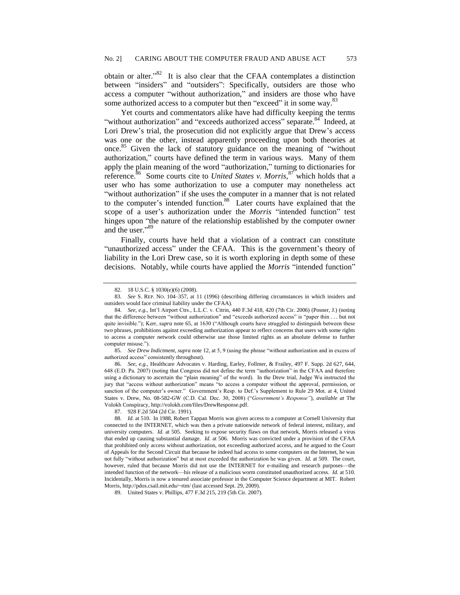obtain or alter.<sup>382</sup> It is also clear that the CFAA contemplates a distinction between "insiders" and "outsiders": Specifically, outsiders are those who access a computer "without authorization," and insiders are those who have some authorized access to a computer but then "exceed" it in some way.<sup>83</sup>

Yet courts and commentators alike have had difficulty keeping the terms "without authorization" and "exceeds authorized access" separate.<sup>84</sup> Indeed, at Lori Drew's trial, the prosecution did not explicitly argue that Drew's access was one or the other, instead apparently proceeding upon both theories at once.<sup>85</sup> Given the lack of statutory guidance on the meaning of "without" authorization," courts have defined the term in various ways. Many of them apply the plain meaning of the word "authorization," turning to dictionaries for reference.<sup>86</sup> Some courts cite to *United States v. Morris*,<sup>87</sup> which holds that a user who has some authorization to use a computer may nonetheless act "without authorization" if she uses the computer in a manner that is not related to the computer's intended function.<sup>88</sup> Later courts have explained that the scope of a user's authorization under the *Morris* "intended function" test hinges upon "the nature of the relationship established by the computer owner and the user."89

Finally, courts have held that a violation of a contract can constitute "unauthorized access" under the CFAA. This is the government's theory of liability in the Lori Drew case, so it is worth exploring in depth some of these decisions. Notably, while courts have applied the *Morris* "intended function"

85. See Drew Indictment, supra note 12, at 5, 9 (using the phrase "without authorization and in excess of authorized access" consistently throughout).

86*. See, e.g.,* Healthcare Advocates v. Harding, Earley, Follmer, & Frailey, 497 F. Supp. 2d 627, 644, 648 (E.D. Pa. 2007) (noting that Congress did not define the term "authorization" in the CFAA and therefore using a dictionary to ascertain the "plain meaning" of the word). In the Drew trial, Judge Wu instructed the jury that "access without authorization" means "to access a computer without the approval, permission, or sanction of the computer's owner." Government's Resp. to Def.'s Supplement to Rule 29 Mot. at 4, United States v. Drew, No. 08-582-GW (C.D. Cal. Dec. 30, 2008) ("Government's Response"), *available at* The Volokh Conspiracy, http://volokh.com/files/DrewResponse.pdf.

87. 928 F.2d 504 (2d Cir. 1991).

<sup>82.</sup> 18 U.S.C. § 1030(e)(6) (2008).

<sup>83</sup>*. See* S. REP. NO. 104–357, at 11 (1996) (describing differing circumstances in which insiders and outsiders would face criminal liability under the CFAA).

<sup>84</sup>*. See, e.g.,* Int'l Airport Ctrs., L.L.C. v. Citrin*,* 440 F.3d 418, 420 (7th Cir. 2006) (Posner, J.) (noting that the difference between "without authorization" and "exceeds authorized access" is "paper thin . . . but not quite invisible."); Kerr, *supra* note 65, at 1630 ("Although courts have struggled to distinguish between these two phrases, prohibitions against exceeding authorization appear to reflect concerns that users with some rights to access a computer network could otherwise use those limited rights as an absolute defense to further computer misuse.").

<sup>88</sup>*. Id.* at 510. In 1988, Robert Tappan Morris was given access to a computer at Cornell University that connected to the INTERNET, which was then a private nationwide network of federal interest, military, and university computers. *Id.* at 505. Seeking to expose security flaws on that network, Morris released a virus that ended up causing substantial damage. *Id.* at 506. Morris was convicted under a provision of the CFAA that prohibited only access without authorization, not exceeding authorized access, and he argued to the Court of Appeals for the Second Circuit that because he indeed had access to some computers on the Internet, he was not fully "without authorization" but at most exceeded the authorization he was given. *Id.* at 509. The court, however, ruled that because Morris did not use the INTERNET for e-mailing and research purposes—the intended function of the network—his release of a malicious worm constituted unauthorized access. *Id.* at 510. Incidentally, Morris is now a tenured associate professor in the Computer Science department at MIT. Robert Morris, http://pdos.csail.mit.edu/~rtm/ (last accessed Sept. 29, 2009).

<sup>89.</sup> United States v. Phillips, 477 F.3d 215, 219 (5th Cir. 2007).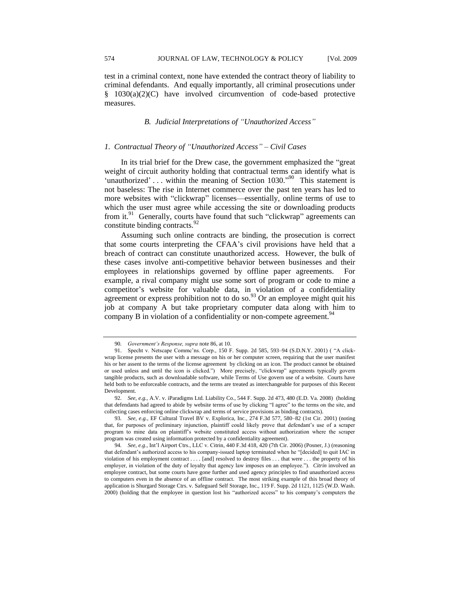test in a criminal context, none have extended the contract theory of liability to criminal defendants. And equally importantly, all criminal prosecutions under § 1030(a)(2)(C) have involved circumvention of code-based protective measures.

## *B. Judicial Interpretations of "Unauthorized Access"*

#### *1. Contractual Theory of ―Unauthorized Access‖ – Civil Cases*

In its trial brief for the Drew case, the government emphasized the "great" weight of circuit authority holding that contractual terms can identify what is 'unauthorized' ... within the meaning of Section  $1030.^{90}$  This statement is not baseless: The rise in Internet commerce over the past ten years has led to more websites with "clickwrap" licenses—essentially, online terms of use to which the user must agree while accessing the site or downloading products from it. $91$  Generally, courts have found that such "clickwrap" agreements can constitute binding contracts.<sup>92</sup>

Assuming such online contracts are binding, the prosecution is correct that some courts interpreting the CFAA's civil provisions have held that a breach of contract can constitute unauthorized access. However, the bulk of these cases involve anti-competitive behavior between businesses and their employees in relationships governed by offline paper agreements. For example, a rival company might use some sort of program or code to mine a competitor's website for valuable data, in violation of a confidentiality agreement or express prohibition not to do so.<sup>93</sup> Or an employee might quit his job at company A but take proprietary computer data along with him to company B in violation of a confidentiality or non-compete agreement.<sup>94</sup>

<sup>90</sup>*. Government's Response, supra* note 86, at 10.

<sup>91.</sup> Specht v. Netscape Commc'ns. Corp., 150 F. Supp. 2d 585, 593-94 (S.D.N.Y. 2001) ( "A clickwrap license presents the user with a message on his or her computer screen, requiring that the user manifest his or her assent to the terms of the license agreement by clicking on an icon. The product cannot be obtained or used unless and until the icon is clicked.") More precisely, "clickwrap" agreements typically govern tangible products, such as downloadable software, while Terms of Use govern use of a website. Courts have held both to be enforceable contracts, and the terms are treated as interchangeable for purposes of this Recent Development.

<sup>92</sup>*. See, e.g.,* A.V. v. iParadigms Ltd. Liability Co., 544 F. Supp. 2d 473, 480 (E.D. Va. 2008)(holding that defendants had agreed to abide by website terms of use by clicking "I agree" to the terms on the site, and collecting cases enforcing online clickwrap and terms of service provisions as binding contracts).

<sup>93</sup>*. See, e.g.,* EF Cultural Travel BV v. Explorica, Inc., 274 F.3d 577, 580–82 (1st Cir. 2001) (noting that, for purposes of preliminary injunction, plaintiff could likely prove that defendant's use of a scraper program to mine data on plaintiff's website constituted access without authorization where the scraper program was created using information protected by a confidentiality agreement).

<sup>94</sup>*. See, e.g*., Int'l Airport Ctrs., LLC v. Citrin*,* 440 F.3d 418, 420 (7th Cir. 2006) (Posner, J.) (reasoning that defendant's authorized access to his company-issued laptop terminated when he "[decided] to quit IAC in violation of his employment contract . . . . [and] resolved to destroy files . . . that were . . . the property of his employer, in violation of the duty of loyalty that agency law imposes on an employee."). *Citrin* involved an employee contract, but some courts have gone further and used agency principles to find unauthorized access to computers even in the absence of an offline contract. The most striking example of this broad theory of application is Shurgard Storage Ctrs. v. Safeguard Self Storage, Inc., 119 F. Supp. 2d 1121, 1125 (W.D. Wash. 2000) (holding that the employee in question lost his "authorized access" to his company's computers the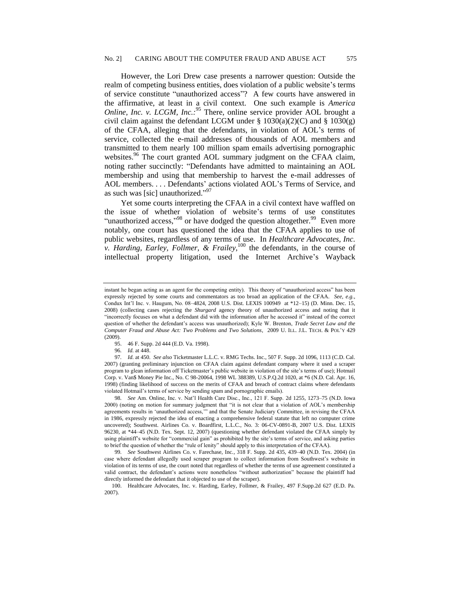However, the Lori Drew case presents a narrower question: Outside the realm of competing business entities, does violation of a public website's terms of service constitute "unauthorized access"? A few courts have answered in the affirmative, at least in a civil context. One such example is *America Online, Inc. v. LCGM, Inc.*:<sup>95</sup> There, online service provider AOL brought a civil claim against the defendant LCGM under § 1030(a)(2)(C) and § 1030(g) of the CFAA, alleging that the defendants, in violation of AOL's terms of service, collected the e-mail addresses of thousands of AOL members and transmitted to them nearly 100 million spam emails advertising pornographic websites.<sup>96</sup> The court granted AOL summary judgment on the CFAA claim, noting rather succinctly: "Defendants have admitted to maintaining an AOL membership and using that membership to harvest the e-mail addresses of AOL members. . . . Defendants' actions violated AOL's Terms of Service, and as such was [sic] unauthorized." $97$ 

Yet some courts interpreting the CFAA in a civil context have waffled on the issue of whether violation of website's terms of use constitutes "unauthorized access,"<sup>98</sup> or have dodged the question altogether.<sup>99</sup> Even more notably, one court has questioned the idea that the CFAA applies to use of public websites, regardless of any terms of use. In *Healthcare Advocates, Inc. v. Harding, Earley, Follmer, & Frailey*,<sup>100</sup> the defendants, in the course of intellectual property litigation, used the Internet Archive's Wayback

instant he began acting as an agent for the competing entity). This theory of "unauthorized access" has been expressly rejected by some courts and commentators as too broad an application of the CFAA. *See, e.g.*, Condux Int'l Inc. v. Haugum, No. 08–4824, 2008 U.S. Dist. LEXIS 100949 at \*12–15) (D. Minn. Dec. 15, 2008) (collecting cases rejecting the *Shurgard* agency theory of unauthorized access and noting that it ―incorrectly focuses on what a defendant did with the information after he accessed it‖ instead of the correct question of whether the defendant's access was unauthorized); Kyle W. Brenton, *Trade Secret Law and the Computer Fraud and Abuse Act: Two Problems and Two Solutions,* 2009 U. ILL. J.L. TECH. & POL'Y 429 (2009).

<sup>95.</sup> 46 F. Supp. 2d 444 (E.D. Va. 1998).

<sup>96</sup>*. Id.* at 448.

<sup>97</sup>*. Id.* at 450. *See also* Ticketmaster L.L.C. v. RMG Techs. Inc., 507 F. Supp. 2d 1096, 1113 (C.D. Cal. 2007) (granting preliminary injunction on CFAA claim against defendant company where it used a scraper program to glean information off Ticketmaster's public website in violation of the site's terms of use); Hotmail Corp. v. Van\$ Money Pie Inc., No. C 98-20064, 1998 WL 388389, U.S.P.Q.2d 1020, at \*6 (N.D. Cal. Apr. 16, 1998) (finding likelihood of success on the merits of CFAA and breach of contract claims where defendants violated Hotmail's terms of service by sending spam and pornographic emails).

<sup>98</sup>*. See* Am. Online, Inc. v. Nat'l Health Care Disc., Inc., 121 F. Supp. 2d 1255, 1273–75 (N.D. Iowa 2000) (noting on motion for summary judgment that "it is not clear that a violation of AOL's membership agreements results in 'unauthorized access,'" and that the Senate Judiciary Committee, in revising the CFAA in 1986, expressly rejected the idea of enacting a comprehensive federal statute that left no computer crime uncovered); Southwest. Airlines Co. v. Boardfirst, L.L.C., No. 3: 06-CV-0891-B, 2007 U.S. Dist. LEXIS 96230, at \*44–45 (N.D. Tex. Sept. 12, 2007) (questioning whether defendant violated the CFAA simply by using plaintiff's website for "commercial gain" as prohibited by the site's terms of service, and asking parties to brief the question of whether the "rule of lenity" should apply to this interpretation of the CFAA).

<sup>99</sup>*. See* Southwest Airlines Co. v. Farechase, Inc*.,* 318 F. Supp. 2d 435, 439–40 (N.D. Tex. 2004) (in case where defendant allegedly used scraper program to collect information from Southwest's website in violation of its terms of use, the court noted that regardless of whether the terms of use agreement constituted a valid contract, the defendant's actions were nonetheless "without authorization" because the plaintiff had directly informed the defendant that it objected to use of the scraper).

<sup>100.</sup> Healthcare Advocates, Inc. v. Harding, Earley, Follmer, & Frailey, 497 F.Supp.2d 627 (E.D. Pa. 2007).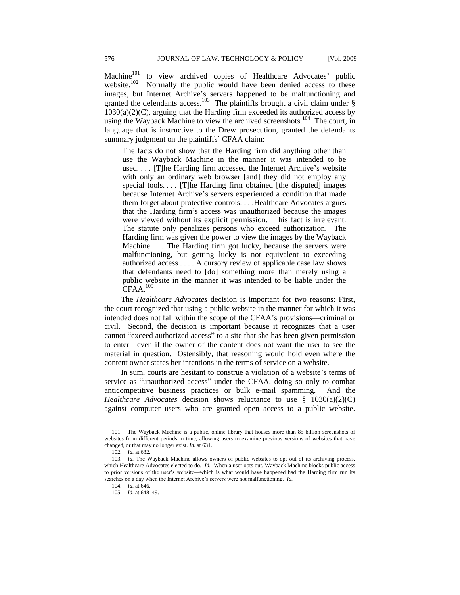Machine<sup>101</sup> to view archived copies of Healthcare Advocates' public website.<sup>102</sup> Normally the public would have been denied access to these images, but Internet Archive's servers happened to be malfunctioning and granted the defendants access.<sup>103</sup> The plaintiffs brought a civil claim under  $\S$  $1030(a)(2)(C)$ , arguing that the Harding firm exceeded its authorized access by using the Wayback Machine to view the archived screenshots.<sup>104</sup> The court, in language that is instructive to the Drew prosecution, granted the defendants summary judgment on the plaintiffs' CFAA claim:

The facts do not show that the Harding firm did anything other than use the Wayback Machine in the manner it was intended to be used. . . . [T]he Harding firm accessed the Internet Archive's website with only an ordinary web browser [and] they did not employ any special tools. . . . [T]he Harding firm obtained [the disputed] images because Internet Archive's servers experienced a condition that made them forget about protective controls. . . .Healthcare Advocates argues that the Harding firm's access was unauthorized because the images were viewed without its explicit permission. This fact is irrelevant. The statute only penalizes persons who exceed authorization. The Harding firm was given the power to view the images by the Wayback Machine.... The Harding firm got lucky, because the servers were malfunctioning, but getting lucky is not equivalent to exceeding authorized access . . . . A cursory review of applicable case law shows that defendants need to [do] something more than merely using a public website in the manner it was intended to be liable under the CFAA.<sup>105</sup>

The *Healthcare Advocates* decision is important for two reasons: First, the court recognized that using a public website in the manner for which it was intended does not fall within the scope of the CFAA's provisions—criminal or civil. Second, the decision is important because it recognizes that a user cannot "exceed authorized access" to a site that she has been given permission to enter—even if the owner of the content does not want the user to see the material in question. Ostensibly, that reasoning would hold even where the content owner states her intentions in the terms of service on a website.

In sum, courts are hesitant to construe a violation of a website's terms of service as "unauthorized access" under the CFAA, doing so only to combat anticompetitive business practices or bulk e-mail spamming. And the *Healthcare Advocates* decision shows reluctance to use § 1030(a)(2)(C) against computer users who are granted open access to a public website.

<sup>101.</sup> The Wayback Machine is a public, online library that houses more than 85 billion screenshots of websites from different periods in time, allowing users to examine previous versions of websites that have changed, or that may no longer exist. *Id.* at 631.

<sup>102</sup>*. Id.* at 632.

<sup>103</sup>*. Id.* The Wayback Machine allows owners of public websites to opt out of its archiving process, which Healthcare Advocates elected to do. *Id.* When a user opts out, Wayback Machine blocks public access to prior versions of the user's website—which is what would have happened had the Harding firm run its searches on a day when the Internet Archive's servers were not malfunctioning. *Id.*

<sup>104</sup>*. Id.* at 646.

<sup>105</sup>*. Id.* at 648–49.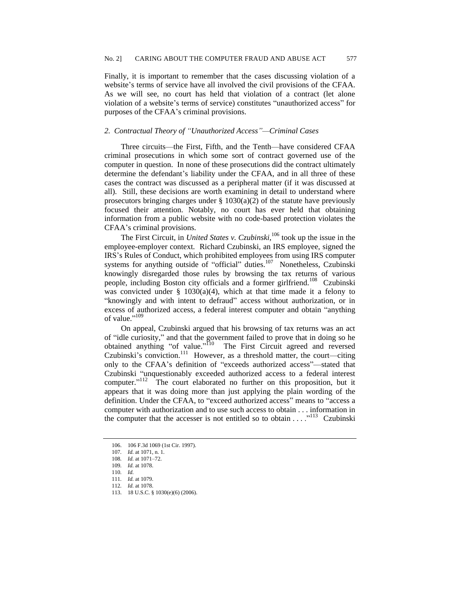Finally, it is important to remember that the cases discussing violation of a website's terms of service have all involved the civil provisions of the CFAA. As we will see, no court has held that violation of a contract (let alone violation of a website's terms of service) constitutes "unauthorized access" for purposes of the CFAA's criminal provisions.

## *2. Contractual Theory of ―Unauthorized Access‖—Criminal Cases*

Three circuits—the First, Fifth, and the Tenth—have considered CFAA criminal prosecutions in which some sort of contract governed use of the computer in question. In none of these prosecutions did the contract ultimately determine the defendant's liability under the CFAA, and in all three of these cases the contract was discussed as a peripheral matter (if it was discussed at all). Still, these decisions are worth examining in detail to understand where prosecutors bringing charges under  $\S 1030(a)(2)$  of the statute have previously focused their attention. Notably, no court has ever held that obtaining information from a public website with no code-based protection violates the CFAA's criminal provisions.

The First Circuit, in *United States v. Czubinski*,<sup>106</sup> took up the issue in the employee-employer context. Richard Czubinski, an IRS employee, signed the IRS's Rules of Conduct, which prohibited employees from using IRS computer systems for anything outside of "official" duties.<sup>107</sup> Nonetheless, Czubinski knowingly disregarded those rules by browsing the tax returns of various people, including Boston city officials and a former girlfriend.<sup>108</sup> Czubinski was convicted under § 1030(a)(4), which at that time made it a felony to "knowingly and with intent to defraud" access without authorization, or in excess of authorized access, a federal interest computer and obtain "anything of value."<sup>109</sup>

On appeal, Czubinski argued that his browsing of tax returns was an act of "idle curiosity," and that the government failed to prove that in doing so he obtained anything "of value."<sup>110</sup> The First Circuit agreed and reversed Czubinski's conviction.<sup>111</sup> However, as a threshold matter, the court—citing only to the CFAA's definition of "exceeds authorized access"—stated that Czubinski "unquestionably exceeded authorized access to a federal interest computer."<sup>112</sup> The court elaborated no further on this proposition, but it appears that it was doing more than just applying the plain wording of the definition. Under the CFAA, to "exceed authorized access" means to "access a computer with authorization and to use such access to obtain . . . information in the computer that the accesser is not entitled so to obtain  $\dots$ <sup>113</sup> Czubinski

<sup>106.</sup> 106 F.3d 1069 (1st Cir. 1997).

<sup>107</sup>*. Id.* at 1071, n. 1.

<sup>108</sup>*. Id.* at 1071–72.

<sup>109</sup>*. Id.* at 1078.

<sup>110</sup>*. Id.*

<sup>111</sup>*. Id.* at 1079.

<sup>112</sup>*. Id.* at 1078.

<sup>113.</sup> 18 U.S.C. § 1030(e)(6) (2006).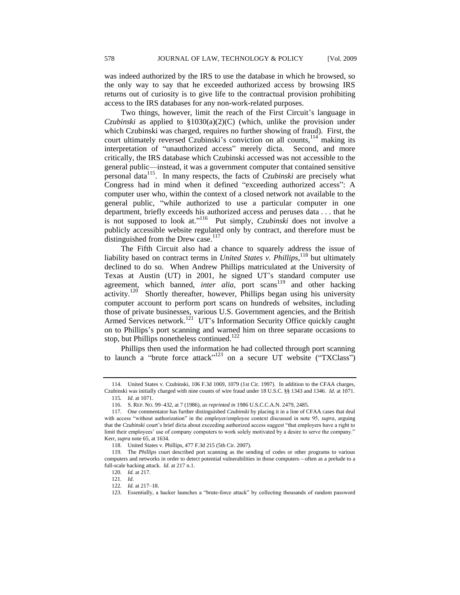was indeed authorized by the IRS to use the database in which he browsed, so the only way to say that he exceeded authorized access by browsing IRS returns out of curiosity is to give life to the contractual provision prohibiting access to the IRS databases for any non-work-related purposes.

Two things, however, limit the reach of the First Circuit's language in *Czubinski* as applied to §1030(a)(2)(C) (which, unlike the provision under which Czubinski was charged, requires no further showing of fraud). First, the court ultimately reversed Czubinski's conviction on all counts,  $114$  making its interpretation of "unauthorized access" merely dicta. Second, and more critically, the IRS database which Czubinski accessed was not accessible to the general public—instead, it was a government computer that contained sensitive personal data<sup>115</sup>. In many respects, the facts of *Czubinski* are precisely what Congress had in mind when it defined "exceeding authorized access": A computer user who, within the context of a closed network not available to the general public, "while authorized to use a particular computer in one department, briefly exceeds his authorized access and peruses data . . . that he is not supposed to look at."<sup>116</sup> Put simply, *Czubinski* does not involve a publicly accessible website regulated only by contract, and therefore must be distinguished from the Drew case. $117$ 

The Fifth Circuit also had a chance to squarely address the issue of liability based on contract terms in *United States v. Phillips*,<sup>118</sup> but ultimately declined to do so. When Andrew Phillips matriculated at the University of Texas at Austin (UT) in 2001, he signed UT's standard computer use agreement, which banned, *inter alia*, port scans<sup>119</sup> and other hacking activity.<sup>120</sup> Shortly thereafter, however, Phillips began using his university computer account to perform port scans on hundreds of websites, including those of private businesses, various U.S. Government agencies, and the British Armed Services network.<sup>121</sup> UT's Information Security Office quickly caught on to Phillips's port scanning and warned him on three separate occasions to stop, but Phillips nonetheless continued.<sup>122</sup>

Phillips then used the information he had collected through port scanning to launch a "brute force attack"<sup>123</sup> on a secure UT website ("TXClass")

<sup>114.</sup> United States v. Czubinski, 106 F.3d 1069, 1079 (1st Cir. 1997). In addition to the CFAA charges, Czubinski was initially charged with nine counts of wire fraud under 18 U.S.C. §§ 1343 and 1346. *Id.* at 1071.

<sup>115</sup>*. Id*. at 1071.

<sup>116.</sup> S. REP. NO. 99–432, at 7 (1986), *as reprinted in* 1986 U.S.C.C.A.N. 2479, 2485.

<sup>117.</sup> One commentator has further distinguished *Czubinski* by placing it in a line of CFAA cases that deal with access "without authorization" in the employer/employee context discussed in note 95, *supra*, arguing that the *Czubinski* court's brief dicta about exceeding authorized access suggest "that employers have a right to limit their employees' use of company computers to work solely motivated by a desire to serve the company." Kerr*, supra* note 65, at 1634.

<sup>118.</sup> United States v. Phillips, 477 F.3d 215 (5th Cir. 2007).

<sup>119.</sup> The *Phillips* court described port scanning as the sending of codes or other programs to various computers and networks in order to detect potential vulnerabilities in those computers—often as a prelude to a full-scale hacking attack. *Id.* at 217 n.1.

<sup>120</sup>*. Id.* at 217.

<sup>121</sup>*. Id.*

<sup>122</sup>*. Id.* at 217–18.

<sup>123.</sup> Essentially, a hacker launches a "brute-force attack" by collecting thousands of random password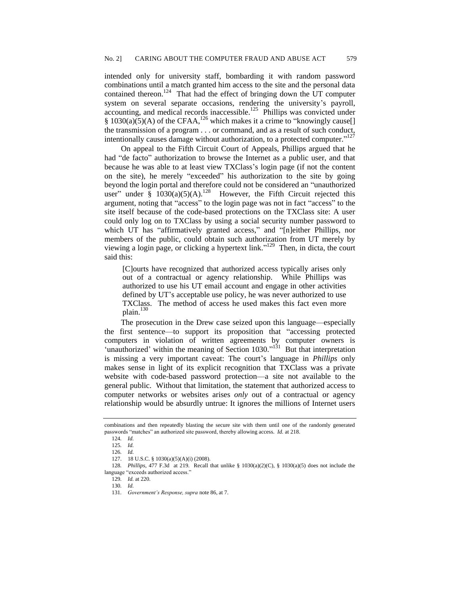intended only for university staff, bombarding it with random password combinations until a match granted him access to the site and the personal data contained thereon.<sup>124</sup> That had the effect of bringing down the UT computer system on several separate occasions, rendering the university's payroll, accounting, and medical records inaccessible.<sup>125</sup> Phillips was convicted under § 1030(a)(5)(A) of the CFAA,<sup>126</sup> which makes it a crime to "knowingly cause[] the transmission of a program . . . or command, and as a result of such conduct, intentionally causes damage without authorization, to a protected computer."<sup>127</sup>

On appeal to the Fifth Circuit Court of Appeals, Phillips argued that he had "de facto" authorization to browse the Internet as a public user, and that because he was able to at least view TXClass's login page (if not the content on the site), he merely "exceeded" his authorization to the site by going beyond the login portal and therefore could not be considered an "unauthorized user" under §  $1030(a)(5)(A)$ .<sup>128</sup> However, the Fifth Circuit rejected this argument, noting that "access" to the login page was not in fact "access" to the site itself because of the code-based protections on the TXClass site: A user could only log on to TXClass by using a social security number password to which UT has "affirmatively granted access," and "[n]either Phillips, nor members of the public, could obtain such authorization from UT merely by viewing a login page, or clicking a hypertext link."<sup>129</sup> Then, in dicta, the court said this:

[C]ourts have recognized that authorized access typically arises only out of a contractual or agency relationship. While Phillips was authorized to use his UT email account and engage in other activities defined by UT's acceptable use policy, he was never authorized to use TXClass. The method of access he used makes this fact even more plain. 130

The prosecution in the Drew case seized upon this language—especially the first sentence—to support its proposition that "accessing protected computers in violation of written agreements by computer owners is 'unauthorized' within the meaning of Section  $1030$ ."<sup>131</sup> But that interpretation is missing a very important caveat: The court's language in *Phillips* only makes sense in light of its explicit recognition that TXClass was a private website with code-based password protection—a site not available to the general public. Without that limitation, the statement that authorized access to computer networks or websites arises *only* out of a contractual or agency relationship would be absurdly untrue: It ignores the millions of Internet users

combinations and then repeatedly blasting the secure site with them until one of the randomly generated passwords "matches" an authorized site password, thereby allowing access. *Id.* at 218.

<sup>124</sup>*. Id.*

<sup>125</sup>*. Id.*

<sup>126</sup>*. Id.*

<sup>127.</sup> 18 U.S.C. § 1030(a)(5)(A)(i) (2008).

<sup>128</sup>*. Phillips,* 477 F.3d at 219. Recall that unlike § 1030(a)(2)(C), § 1030(a)(5) does not include the language "exceeds authorized access."

<sup>129</sup>*. Id.* at 220. 130*. Id.*

<sup>131</sup>*. Government's Response, supra* note 86, at 7.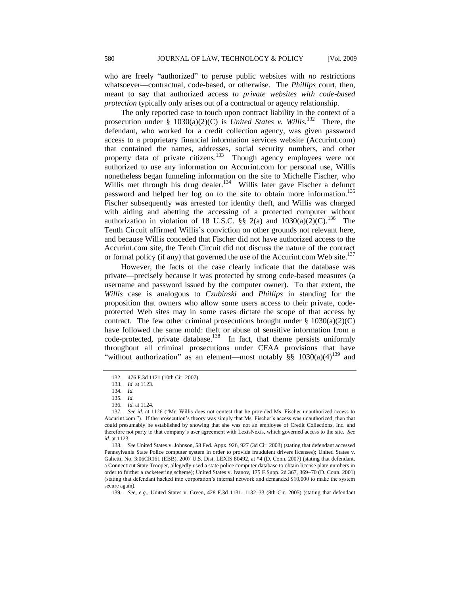who are freely "authorized" to peruse public websites with *no* restrictions whatsoever—contractual, code-based, or otherwise. The *Phillips* court, then, meant to say that authorized access *to private websites with code-based protection* typically only arises out of a contractual or agency relationship.

The only reported case to touch upon contract liability in the context of a prosecution under §  $1030(a)(2)(C)$  is *United States v. Willis.*<sup>132</sup> There, the defendant, who worked for a credit collection agency, was given password access to a proprietary financial information services website (Accurint.com) that contained the names, addresses, social security numbers, and other property data of private citizens.<sup>133</sup> Though agency employees were not authorized to use any information on Accurint.com for personal use, Willis nonetheless began funneling information on the site to Michelle Fischer, who Willis met through his drug dealer.<sup>134</sup> Willis later gave Fischer a defunct password and helped her log on to the site to obtain more information.<sup>135</sup> Fischer subsequently was arrested for identity theft, and Willis was charged with aiding and abetting the accessing of a protected computer without authorization in violation of 18 U.S.C. §§ 2(a) and  $1030(a)(2)(C)$ .<sup>136</sup> The Tenth Circuit affirmed Willis's conviction on other grounds not relevant here, and because Willis conceded that Fischer did not have authorized access to the Accurint.com site, the Tenth Circuit did not discuss the nature of the contract or formal policy (if any) that governed the use of the Accurint.com Web site.<sup>137</sup>

However, the facts of the case clearly indicate that the database was private—precisely because it was protected by strong code-based measures (a username and password issued by the computer owner). To that extent, the *Willis* case is analogous to *Czubinski* and *Phillips* in standing for the proposition that owners who allow some users access to their private, codeprotected Web sites may in some cases dictate the scope of that access by contract. The few other criminal prosecutions brought under  $\S 1030(a)(2)(C)$ have followed the same mold: theft or abuse of sensitive information from a code-protected, private database.<sup>138</sup> In fact, that theme persists uniformly throughout all criminal prosecutions under CFAA provisions that have "without authorization" as an element—most notably  $\S$ § 1030(a)(4)<sup>139</sup> and

<sup>132.</sup> 476 F.3d 1121 (10th Cir. 2007).

<sup>133</sup>*. Id.* at 1123.

<sup>134</sup>*. Id.*

<sup>135</sup>*. Id.*

<sup>136</sup>*. Id.* at 1124.

<sup>137.</sup> See id. at 1126 ("Mr. Willis does not contest that he provided Ms. Fischer unauthorized access to Accurint.com.‖). If the prosecution's theory was simply that Ms. Fischer's access was unauthorized, then that could presumably be established by showing that she was not an employee of Credit Collections, Inc. and therefore not party to that company's user agreement with LexisNexis, which governed access to the site. *See id.* at 1123.

<sup>138</sup>*. See* United States v. Johnson, 58 Fed. Appx. 926, 927 (3d Cir. 2003) (stating that defendant accessed Pennsylvania State Police computer system in order to provide fraudulent drivers licenses); United States v. Galietti, No. 3:06CR161 (EBB), 2007 U.S. Dist. LEXIS 80492, at \*4 (D. Conn. 2007) (stating that defendant, a Connecticut State Trooper, allegedly used a state police computer database to obtain license plate numbers in order to further a racketeering scheme); United States v. Ivanov, 175 F.Supp. 2d 367, 369–70 (D. Conn. 2001) (stating that defendant hacked into corporation's internal network and demanded \$10,000 to make the system secure again).

<sup>139</sup>*. See, e.g.*, United States v. Green*,* 428 F.3d 1131, 1132–33 (8th Cir. 2005) (stating that defendant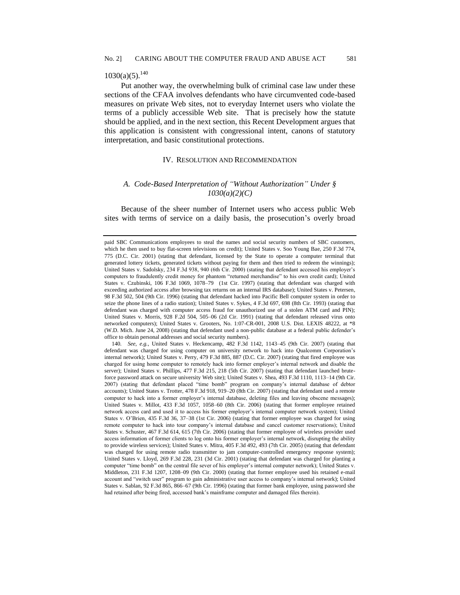# $1030(a)(5)$ .<sup>140</sup>

Put another way, the overwhelming bulk of criminal case law under these sections of the CFAA involves defendants who have circumvented code-based measures on private Web sites, not to everyday Internet users who violate the terms of a publicly accessible Web site. That is precisely how the statute should be applied, and in the next section, this Recent Development argues that this application is consistent with congressional intent, canons of statutory interpretation, and basic constitutional protections.

#### IV. RESOLUTION AND RECOMMENDATION

# *A. Code-Based Interpretation of ―Without Authorization‖ Under § 1030(a)(2)(C)*

Because of the sheer number of Internet users who access public Web sites with terms of service on a daily basis, the prosecution's overly broad

paid SBC Communications employees to steal the names and social security numbers of SBC customers, which he then used to buy flat-screen televisions on credit); United States v. Soo Young Bae*,* 250 F.3d 774, 775 (D.C. Cir. 2001) (stating that defendant, licensed by the State to operate a computer terminal that generated lottery tickets, generated tickets without paying for them and then tried to redeem the winnings); United States v. Sadolsky*,* 234 F.3d 938, 940 (6th Cir. 2000) (stating that defendant accessed his employer's computers to fraudulently credit money for phantom "returned merchandise" to his own credit card); United States v. Czubinski, 106 F.3d 1069, 1078–79 (1st Cir. 1997) (stating that defendant was charged with exceeding authorized access after browsing tax returns on an internal IRS database); United States v. Petersen*,*  98 F.3d 502, 504 (9th Cir. 1996) (stating that defendant hacked into Pacific Bell computer system in order to seize the phone lines of a radio station); United States v. Sykes*,* 4 F.3d 697, 698 (8th Cir. 1993) (stating that defendant was charged with computer access fraud for unauthorized use of a stolen ATM card and PIN); United States v. Morris, 928 F.2d 504, 505–06 (2d Cir. 1991) (stating that defendant released virus onto networked computers); United States v. Grooters, No. 1:07-CR-001, 2008 U.S. Dist. LEXIS 48222, at \*8 (W.D. Mich. June 24, 2008) (stating that defendant used a non-public database at a federal public defender's office to obtain personal addresses and social security numbers).

<sup>140</sup>*. See, e.g.*, United States v. Heckencamp, 482 F.3d 1142, 1143–45 (9th Cir. 2007) (stating that defendant was charged for using computer on university network to hack into Qualcomm Corporation's internal network); United States v. Perry, 479 F.3d 885, 887 (D.C. Cir. 2007) (stating that fired employee was charged for using home computer to remotely hack into former employer's internal network and disable the server); United States v. Phillips, 477 F.3d 215, 218 (5th Cir. 2007) (stating that defendant launched bruteforce password attack on secure university Web site); United States v. Shea, 493 F.3d 1110, 1113–14 (9th Cir. 2007) (stating that defendant placed "time bomb" program on company's internal database of debtor accounts); United States v. Trotter, 478 F.3d 918, 919–20 (8th Cir. 2007) (stating that defendant used a remote computer to hack into a former employer's internal database, deleting files and leaving obscene messages); United States v. Millot, 433 F.3d 1057, 1058–60 (8th Cir. 2006) (stating that former employee retained network access card and used it to access his former employer's internal computer network system); United States v. O'Brien*,* 435 F.3d 36, 37–38 (1st Cir. 2006) (stating that former employee was charged for using remote computer to hack into tour company's internal database and cancel customer reservations); United States v. Schuster*,* 467 F.3d 614, 615 (7th Cir. 2006) (stating that former employee of wireless provider used access information of former clients to log onto his former employer's internal network, disrupting the ability to provide wireless services); United States v. Mitra, 405 F.3d 492, 493 (7th Cir. 2005) (stating that defendant was charged for using remote radio transmitter to jam computer-controlled emergency response system); United States v. Lloyd*,* 269 F.3d 228, 231 (3d Cir. 2001) (stating that defendant was charged for planting a computer "time bomb" on the central file sever of his employer's internal computer network); United States v. Middleton, 231 F.3d 1207, 1208–09 (9th Cir. 2000) (stating that former employee used his retained e-mail account and "switch user" program to gain administrative user access to company's internal network); United States v. Sablan, 92 F.3d 865, 866–67 (9th Cir. 1996) (stating that former bank employee, using password she had retained after being fired, accessed bank's mainframe computer and damaged files therein).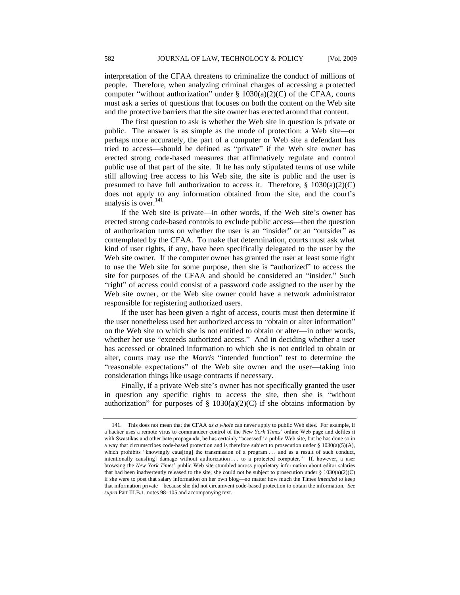interpretation of the CFAA threatens to criminalize the conduct of millions of people. Therefore, when analyzing criminal charges of accessing a protected computer "without authorization" under  $\S$  1030(a)(2)(C) of the CFAA, courts must ask a series of questions that focuses on both the content on the Web site and the protective barriers that the site owner has erected around that content.

The first question to ask is whether the Web site in question is private or public. The answer is as simple as the mode of protection: a Web site—or perhaps more accurately, the part of a computer or Web site a defendant has tried to access—should be defined as "private" if the Web site owner has erected strong code-based measures that affirmatively regulate and control public use of that part of the site. If he has only stipulated terms of use while still allowing free access to his Web site, the site is public and the user is presumed to have full authorization to access it. Therefore,  $\S$  1030(a)(2)(C) does not apply to any information obtained from the site, and the court's analysis is over.<sup>141</sup>

If the Web site is private—in other words, if the Web site's owner has erected strong code-based controls to exclude public access—then the question of authorization turns on whether the user is an "insider" or an "outsider" as contemplated by the CFAA. To make that determination, courts must ask what kind of user rights, if any, have been specifically delegated to the user by the Web site owner*.* If the computer owner has granted the user at least some right to use the Web site for some purpose, then she is "authorized" to access the site for purposes of the CFAA and should be considered an "insider." Such "right" of access could consist of a password code assigned to the user by the Web site owner, or the Web site owner could have a network administrator responsible for registering authorized users.

If the user has been given a right of access, courts must then determine if the user nonetheless used her authorized access to "obtain or alter information" on the Web site to which she is not entitled to obtain or alter—in other words, whether her use "exceeds authorized access." And in deciding whether a user has accessed or obtained information to which she is not entitled to obtain or alter, courts may use the *Morris* "intended function" test to determine the ―reasonable expectations‖ of the Web site owner and the user—taking into consideration things like usage contracts if necessary.

Finally, if a private Web site's owner has not specifically granted the user in question any specific rights to access the site, then she is "without" authorization" for purposes of  $\S$  1030(a)(2)(C) if she obtains information by

<sup>141.</sup> This does not mean that the CFAA *as a whole* can never apply to public Web sites. For example, if a hacker uses a remote virus to commandeer control of the *New York Times*' online Web page and defiles it with Swastikas and other hate propaganda, he has certainly "accessed" a public Web site, but he has done so in a way that circumscribes code-based protection and is therefore subject to prosecution under § 1030(a)(5)(A), which prohibits "knowingly caus[ing] the transmission of a program . . . and as a result of such conduct, intentionally caus[ing] damage without authorization ... to a protected computer." If, however, a user browsing the *New York Times*' public Web site stumbled across proprietary information about editor salaries that had been inadvertently released to the site, she could not be subject to prosecution under  $\S$  1030(a)(2)(C) if she were to post that salary information on her own blog—no matter how much the Times *intended* to keep that information private—because she did not circumvent code-based protection to obtain the information. *See supra* Part III.B.1, notes 98–105 and accompanying text.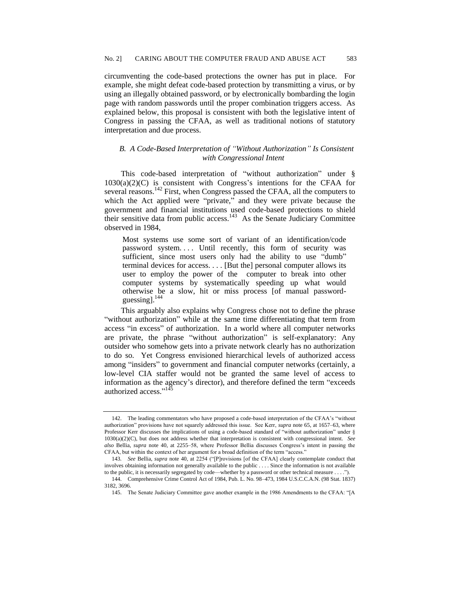circumventing the code-based protections the owner has put in place. For example, she might defeat code-based protection by transmitting a virus, or by using an illegally obtained password, or by electronically bombarding the login page with random passwords until the proper combination triggers access. As explained below, this proposal is consistent with both the legislative intent of Congress in passing the CFAA, as well as traditional notions of statutory interpretation and due process.

# *B. A Code-Based Interpretation of ―Without Authorization‖ Is Consistent with Congressional Intent*

This code-based interpretation of "without authorization" under §  $1030(a)(2)(C)$  is consistent with Congress's intentions for the CFAA for several reasons.<sup>142</sup> First, when Congress passed the CFAA, all the computers to which the Act applied were "private," and they were private because the government and financial institutions used code-based protections to shield their sensitive data from public access.<sup>143</sup> As the Senate Judiciary Committee observed in 1984,

Most systems use some sort of variant of an identification/code password system.... Until recently, this form of security was sufficient, since most users only had the ability to use "dumb" terminal devices for access. . . . [But the] personal computer allows its user to employ the power of the computer to break into other computer systems by systematically speeding up what would otherwise be a slow, hit or miss process [of manual passwordguessing]. $<sup>1</sup>$ </sup>

This arguably also explains why Congress chose not to define the phrase "without authorization" while at the same time differentiating that term from access "in excess" of authorization. In a world where all computer networks are private, the phrase "without authorization" is self-explanatory: Any outsider who somehow gets into a private network clearly has no authorization to do so. Yet Congress envisioned hierarchical levels of authorized access among "insiders" to government and financial computer networks (certainly, a low-level CIA staffer would not be granted the same level of access to information as the agency's director), and therefore defined the term "exceeds" authorized access."<sup>145</sup>

<sup>142.</sup> The leading commentators who have proposed a code-based interpretation of the CFAA's "without authorization" provisions have not squarely addressed this issue. See Kerr, *supra* note 65, at 1657–63, where Professor Kerr discusses the implications of using a code-based standard of "without authorization" under  $\S$ 1030(a)(2)(C), but does not address whether that interpretation is consistent with congressional intent. *See also* Bellia, *supra* note 40, at 2255–58, where Professor Bellia discusses Congress's intent in passing the CFAA, but within the context of her argument for a broad definition of the term "access."

<sup>143.</sup> See Bellia, *supra* note 40, at 2254 ("[P]rovisions [of the CFAA] clearly contemplate conduct that involves obtaining information not generally available to the public . . . . Since the information is not available to the public, it is necessarily segregated by code—whether by a password or other technical measure . . . .").

<sup>144.</sup> Comprehensive Crime Control Act of 1984, Pub. L. No. 98–473, 1984 U.S.C.C.A.N. (98 Stat. 1837) 3182, 3696*.*

<sup>145.</sup> The Senate Judiciary Committee gave another example in the 1986 Amendments to the CFAA: "[A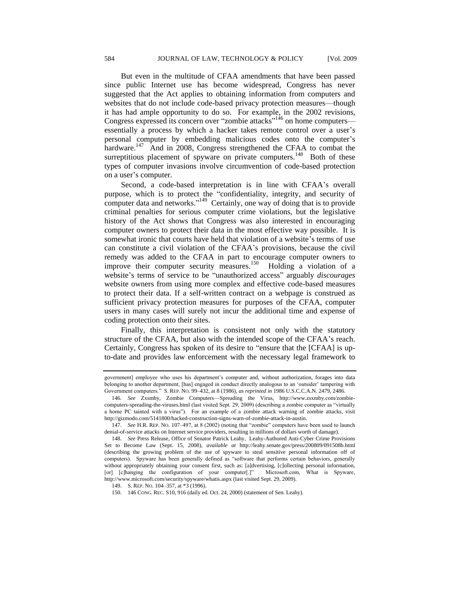But even in the multitude of CFAA amendments that have been passed since public Internet use has become widespread, Congress has never suggested that the Act applies to obtaining information from computers and websites that do not include code-based privacy protection measures—though it has had ample opportunity to do so. For example, in the 2002 revisions, Congress expressed its concern over "zombie attacks"<sup>146</sup> on home computers essentially a process by which a hacker takes remote control over a user's personal computer by embedding malicious codes onto the computer's hardware.<sup>147</sup> And in 2008, Congress strengthened the CFAA to combat the surreptitious placement of spyware on private computers.<sup>148</sup> Both of these types of computer invasions involve circumvention of code-based protection on a user's computer.

Second, a code-based interpretation is in line with CFAA's overall purpose, which is to protect the "confidentiality, integrity, and security of computer data and networks." $149$  Certainly, one way of doing that is to provide criminal penalties for serious computer crime violations, but the legislative history of the Act shows that Congress was also interested in encouraging computer owners to protect their data in the most effective way possible. It is somewhat ironic that courts have held that violation of a website's terms of use can constitute a civil violation of the CFAA's provisions, because the civil remedy was added to the CFAA in part to encourage computer owners to improve their computer security measures.<sup>150</sup> Holding a violation of a website's terms of service to be "unauthorized access" arguably *discourages* website owners from using more complex and effective code-based measures to protect their data. If a self-written contract on a webpage is construed as sufficient privacy protection measures for purposes of the CFAA, computer users in many cases will surely not incur the additional time and expense of coding protection onto their sites.

Finally, this interpretation is consistent not only with the statutory structure of the CFAA, but also with the intended scope of the CFAA's reach. Certainly, Congress has spoken of its desire to "ensure that the [CFAA] is upto-date and provides law enforcement with the necessary legal framework to

government] employee who uses his department's computer and, without authorization, forages into data belonging to another department, [has] engaged in conduct directly analogous to an 'outsider' tampering with Government computers.‖ S. REP. NO. 99–432, at 8 (1986), *as reprinted in* 1986 U.S.C.C.A.N. 2479, 2486.

<sup>146</sup>*. See* Zxsmby, Zombie Computers—Spreading the Virus, http://www.zsxmby.com/zombiecomputers-spreading-the-viruses.html (last visited Sept. 29, 2009) (describing a zombie computer as "virtually a home PC tainted with a virus"). For an example of a zombie attack warning of zombie attacks, visit http://gizmodo.com/5141800/hacked-construction-signs-warn-of-zombie-attack-in-austin.

<sup>147.</sup> *See H.R. REP. No. 107-497, at 8 (2002) (noting that "zombie" computers have been used to launch* denial-of-service attacks on Internet service providers, resulting in millions of dollars worth of damage).

<sup>148</sup>*. See* Press Release, Office of Senator Patrick Leahy, Leahy-Authored Anti-Cyber Crime Provisions Set to Become Law (Sept. 15, 2008), *available at* http://leahy.senate.gov/press/200809/091508b.html (describing the growing problem of the use of spyware to steal sensitive personal information off of computers). Spyware has been generally defined as "software that performs certain behaviors, generally without appropriately obtaining your consent first, such as: [a]dvertising, [c]ollecting personal information, [or] [c]hanging the configuration of your computer[.]" Microsoft.com, What is Spyware, http://www.microsoft.com/security/spyware/whatis.aspx (last visited Sept. 29, 2009).

<sup>149.</sup> S. REP. NO. 104–357, at \*3 (1996).

<sup>150.</sup> 146 CONG. REC. S10, 916 (daily ed. Oct. 24, 2000) (statement of Sen. Leahy).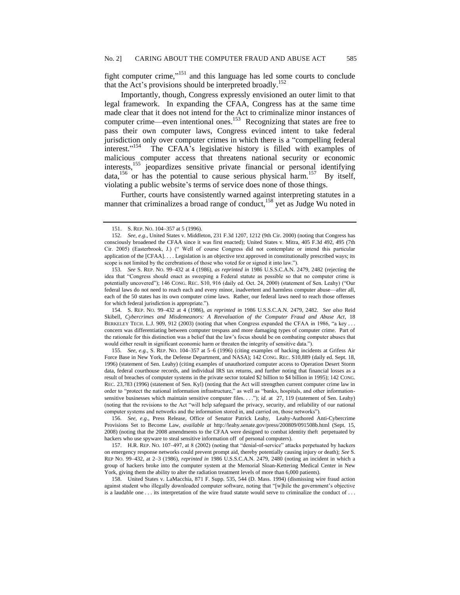fight computer crime," $151$  and this language has led some courts to conclude that the Act's provisions should be interpreted broadly.<sup>152</sup>

Importantly, though, Congress expressly envisioned an outer limit to that legal framework. In expanding the CFAA, Congress has at the same time made clear that it does not intend for the Act to criminalize minor instances of computer crime—even intentional ones.<sup>153</sup> Recognizing that states are free to pass their own computer laws, Congress evinced intent to take federal jurisdiction only over computer crimes in which there is a "compelling federal interest."<sup>154</sup> The CFAA's legislative history is filled with examples of malicious computer access that threatens national security or economic interests,<sup>155</sup> jeopardizes sensitive private financial or personal identifying data,<sup>156</sup> or has the potential to cause serious physical harm.<sup>157</sup> By itself, violating a public website's terms of service does none of those things.

Further, courts have consistently warned against interpreting statutes in a manner that criminalizes a broad range of conduct,<sup>158</sup> yet as Judge Wu noted in

154. S. REP. NO. 99–432 at 4 (1986), *as reprinted in* 1986 U.S.S.C.A.N. 2479, 2482. *See also* Reid Skibell, *Cybercrimes and Misdemeanors: A Reevaluation of the Computer Fraud and Abuse Act*, 18 BERKELEY TECH. L.J. 909, 912 (2003) (noting that when Congress expanded the CFAA in 1986, "a key . . . concern was differentiating between computer trespass and more damaging types of computer crime. Part of the rationale for this distinction was a belief that the law's focus should be on combating computer abuses that would either result in significant economic harm or threaten the integrity of sensitive data.").

155*. See, e.g.,* S. REP. NO. 104–357 at 5–6 (1996) (citing examples of hacking incidents at Grifess Air Force Base in New York, the Defense Department, and NASA); 142 CONG. REC. S10,889 (daily ed. Sept. 18, 1996) (statement of Sen. Leahy) (citing examples of unauthorized computer access to Operation Desert Storm data, federal courthouse records, and individual IRS tax returns, and further noting that financial losses as a result of breaches of computer systems in the private sector totaled \$2 billion to \$4 billion in 1995); 142 CONG. REC*.* 23,783 (1996) (statement of Sen. Kyl) (noting that the Act will strengthen current computer crime law in order to "protect the national information infrastructure," as well as "banks, hospitals, and other informationsensitive businesses which maintain sensitive computer files. . . ."); *id.* at 27, 119 (statement of Sen. Leahy) (noting that the revisions to the Act "will help safeguard the privacy, security, and reliability of our national computer systems and networks and the information stored in, and carried on, those networks").

156*. See, e.g*., Press Release, Office of Senator Patrick Leahy, Leahy-Authored Anti-Cybercrime Provisions Set to Become Law, *available at* http://leahy.senate.gov/press/200809/091508b.html (Sept. 15, 2008) (noting that the 2008 amendments to the CFAA were designed to combat identity theft perpetuated by hackers who use spyware to steal sensitive information off of personal computers).

157. H.R. REP. NO. 107-497, at 8 (2002) (noting that "denial-of-service" attacks perpetuated by hackers on emergency response networks could prevent prompt aid, thereby potentially causing injury or death); *See* S. REP NO. 99–432, at 2–3 (1986), *reprinted in* 1986 U.S.S.C.A.N. 2479, 2480 (noting an incident in which a group of hackers broke into the computer system at the Memorial Sloan-Kettering Medical Center in New York, giving them the ability to alter the radiation treatment levels of more than 6,000 patients).

158. United States v. LaMacchia, 871 F. Supp. 535, 544 (D. Mass. 1994) (dismissing wire fraud action against student who illegally downloaded computer software, noting that "[w]hile the government's objective is a laudable one . . . its interpretation of the wire fraud statute would serve to criminalize the conduct of . . .

<sup>151.</sup> S. REP. NO. 104–357 at 5 (1996).

<sup>152</sup>*. See, e.g.,* United States v. Middleton, 231 F.3d 1207, 1212 (9th Cir. 2000) (noting that Congress has consciously broadened the CFAA since it was first enacted); United States v. Mitra, 405 F.3d 492, 495 (7th Cir. 2005) (Easterbrook, J.) ("Well of course Congress did not contemplate or intend this particular application of the [CFAA]. . . . Legislation is an objective text approved in constitutionally prescribed ways; its scope is not limited by the cerebrations of those who voted for or signed it into law.").

<sup>153</sup>*. See* S. REP. NO. 99–432 at 4 (1986), *as reprinted in* 1986 U.S.S.C.A.N. 2479, 2482 (rejecting the idea that "Congress should enact as sweeping a Federal statute as possible so that no computer crime is potentially uncovered"); 146 CONG. REC. S10, 916 (daily ed. Oct. 24, 2000) (statement of Sen. Leahy) ("Our federal laws do not need to reach each and every minor, inadvertent and harmless computer abuse—after all, each of the 50 states has its own computer crime laws. Rather, our federal laws need to reach those offenses for which federal jurisdiction is appropriate.").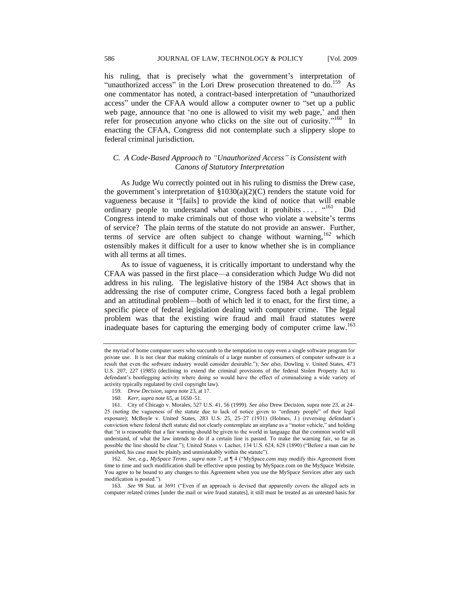his ruling, that is precisely what the government's interpretation of "unauthorized access" in the Lori Drew prosecution threatened to do.<sup>159</sup> As one commentator has noted, a contract-based interpretation of "unauthorized access" under the CFAA would allow a computer owner to "set up a public web page, announce that 'no one is allowed to visit my web page,' and then refer for prosecution anyone who clicks on the site out of curiosity."<sup>160</sup> In enacting the CFAA, Congress did not contemplate such a slippery slope to federal criminal jurisdiction.

# *C. A Code-Based Approach to ―Unauthorized Access‖ is Consistent with Canons of Statutory Interpretation*

As Judge Wu correctly pointed out in his ruling to dismiss the Drew case, the government's interpretation of  $\S 1030(a)(2)(C)$  renders the statute void for vagueness because it "[fails] to provide the kind of notice that will enable ordinary people to understand what conduct it prohibits . . . . . . . 161 Did Congress intend to make criminals out of those who violate a website's terms of service? The plain terms of the statute do not provide an answer. Further, terms of service are often subject to change without warning,  $162$  which ostensibly makes it difficult for a user to know whether she is in compliance with all terms at all times.

As to issue of vagueness, it is critically important to understand why the CFAA was passed in the first place—a consideration which Judge Wu did not address in his ruling. The legislative history of the 1984 Act shows that in addressing the rise of computer crime, Congress faced both a legal problem and an attitudinal problem—both of which led it to enact, for the first time, a specific piece of federal legislation dealing with computer crime. The legal problem was that the existing wire fraud and mail fraud statutes were inadequate bases for capturing the emerging body of computer crime law.<sup>163</sup>

the myriad of home computer users who succumb to the temptation to copy even a single software program for private use. It is not clear that making criminals of a large number of consumers of computer software is a result that even the software industry would consider desirable.‖); *See also,* Dowling v. United States, 473 U.S. 207, 227 (1985) (declining to extend the criminal provisions of the federal Stolen Property Act to defendant's bootlegging activity where doing so would have the effect of criminalizing a wide variety of activity typically regulated by civil copyright law).

<sup>159</sup>*. Drew Decision, supra* note 23, at 17.

<sup>160</sup>*. Kerr, supra* note 65, at 1650–51.

<sup>161.</sup> City of Chicago v. Morales*,* 527 U.S. 41, 56 (1999). *See also* Drew Decision, supra note 23, at 24– 25 (noting the vagueness of the statute due to lack of notice given to "ordinary people" of their legal exposure); McBoyle v. United States, 283 U.S. 25, 25–27 (1931) (Holmes, J.) (reversing defendant's conviction where federal theft statute did not clearly contemplate an airplane as a "motor vehicle," and holding that "it is reasonable that a fair warning should be given to the world in language that the common world will understand, of what the law intends to do if a certain line is passed. To make the warning fair, so far as possible the line should be clear."); United States v. Lacher, 134 U.S. 624, 628 (1890) ("Before a man can be punished, his case must be plainly and unmistakably within the statute").

<sup>162.</sup> *See, e.g., MySpace Terms , supra* note 7, at  $\P$  4 ("MySpace.com may modify this Agreement from time to time and such modification shall be effective upon posting by MySpace.com on the MySpace Website. You agree to be bound to any changes to this Agreement when you use the MySpace Services after any such modification is posted.").

<sup>163.</sup> *See* 98 Stat. at 3691 ("Even if an approach is devised that apparently covers the alleged acts in computer related crimes [under the mail or wire fraud statutes], it still must be treated as an untested basis for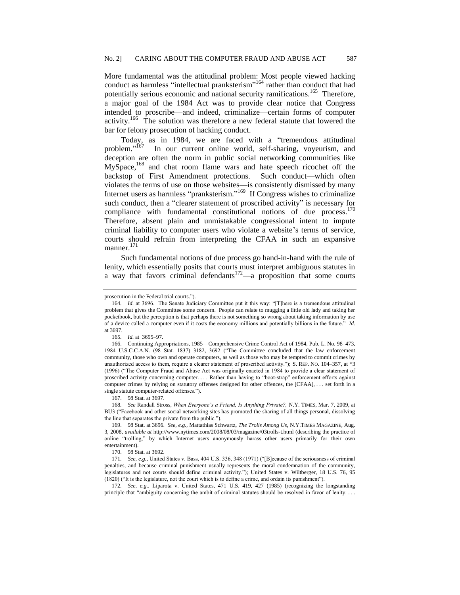More fundamental was the attitudinal problem: Most people viewed hacking conduct as harmless "intellectual pranksterism"<sup>164</sup> rather than conduct that had potentially serious economic and national security ramifications.<sup>165</sup> Therefore, a major goal of the 1984 Act was to provide clear notice that Congress intended to proscribe—and indeed, criminalize—certain forms of computer activity.<sup>166</sup> The solution was therefore a new federal statute that lowered the bar for felony prosecution of hacking conduct.

Today, as in 1984, we are faced with a "tremendous attitudinal problem."<sup>167</sup> In our current online world, self-sharing, voyeurism, and deception are often the norm in public social networking communities like MySpace,<sup>168</sup> and chat room flame wars and hate speech ricochet off the backstop of First Amendment protections. Such conduct—which often violates the terms of use on those websites—is consistently dismissed by many Internet users as harmless "pranksterism."<sup>169</sup> If Congress wishes to criminalize such conduct, then a "clearer statement of proscribed activity" is necessary for compliance with fundamental constitutional notions of due process. $170$ Therefore, absent plain and unmistakable congressional intent to impute criminal liability to computer users who violate a website's terms of service, courts should refrain from interpreting the CFAA in such an expansive manner. 171

Such fundamental notions of due process go hand-in-hand with the rule of lenity, which essentially posits that courts must interpret ambiguous statutes in a way that favors criminal defendants<sup>172</sup>—a proposition that some courts

167. 98 Stat. at 3697.

168*. See* Randall Stross, *When Everyone's a Friend, Is Anything Private?,* N.Y. TIMES, Mar. 7, 2009, at BU3 ("Facebook and other social networking sites has promoted the sharing of all things personal, dissolving the line that separates the private from the public.").

170. 98 Stat. at 3692.

172*. See, e.g.,* Liparota v. United States, 471 U.S. 419, 427 (1985) (recognizing the longstanding principle that "ambiguity concerning the ambit of criminal statutes should be resolved in favor of lenity. . . .

prosecution in the Federal trial courts*.*‖).

<sup>164.</sup> *Id.* at 3696. The Senate Judiciary Committee put it this way: "[T]here is a tremendous attitudinal problem that gives the Committee some concern. People can relate to mugging a little old lady and taking her pocketbook, but the perception is that perhaps there is not something so wrong about taking information by use of a device called a computer even if it costs the economy millions and potentially billions in the future." *Id.* at 3697.

<sup>165</sup>*. Id.* at 3695–97.

<sup>166.</sup> Continuing Appropriations, 1985—Comprehensive Crime Control Act of 1984, Pub. L. No. 98–473, 1984 U.S.C.C.A.N. (98 Stat. 1837) 3182, 3692 ("The Committee concluded that the law enforcement community, those who own and operate computers, as well as those who may be tempted to commit crimes by unauthorized access to them, require a clearer statement of proscribed activity."); S. REP. No. 104–357, at \*3 (1996) ("The Computer Fraud and Abuse Act was originally enacted in 1984 to provide a clear statement of proscribed activity concerning computer. . . . Rather than having to "boot-strap" enforcement efforts against computer crimes by relying on statutory offenses designed for other offences, the [CFAA], . . . set forth in a single statute computer-related offenses.").

<sup>169.</sup> 98 Stat. at 3696. *See, e.g.,* Mattathias Schwartz, *The Trolls Among Us,* N.Y.TIMES MAGAZINE*,* Aug. 3, 2008, *available at* http://www.nytimes.com/2008/08/03/magazine/03trolls-t.html (describing the practice of online "trolling," by which Internet users anonymously harass other users primarily for their own entertainment).

<sup>171.</sup> *See, e.g., United States v. Bass, 404 U.S.* 336, 348 (1971) ("[B]ecause of the seriousness of criminal penalties, and because criminal punishment usually represents the moral condemnation of the community, legislatures and not courts should define criminal activity."); United States v. Wiltberger, 18 U.S. 76, 95 (1820) ("It is the legislature, not the court which is to define a crime, and ordain its punishment").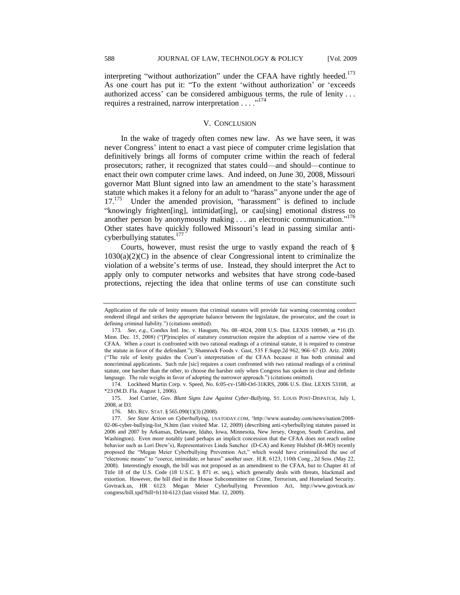interpreting "without authorization" under the CFAA have rightly heeded.<sup>173</sup> As one court has put it: "To the extent 'without authorization' or 'exceeds authorized access' can be considered ambiguous terms, the rule of lenity . . . requires a restrained, narrow interpretation  $\ldots$ <sup>174</sup>

## V. CONCLUSION

In the wake of tragedy often comes new law. As we have seen, it was never Congress' intent to enact a vast piece of computer crime legislation that definitively brings all forms of computer crime within the reach of federal prosecutors; rather, it recognized that states could—and should—continue to enact their own computer crime laws. And indeed, on June 30, 2008, Missouri governor Matt Blunt signed into law an amendment to the state's harassment statute which makes it a felony for an adult to "harass" anyone under the age of 17.<sup>175</sup> Under the amended provision, "harassment" is defined to include "knowingly frighten[ing], intimidat[ing], or cau[sing] emotional distress to another person by anonymously making  $\dots$  an electronic communication."<sup>176</sup> Other states have quickly followed Missouri's lead in passing similar anticyberbullying statutes.<sup>17</sup>

Courts, however, must resist the urge to vastly expand the reach of §  $1030(a)(2)(C)$  in the absence of clear Congressional intent to criminalize the violation of a website's terms of use. Instead, they should interpret the Act to apply only to computer networks and websites that have strong code-based protections, rejecting the idea that online terms of use can constitute such

174. Lockheed Martin Corp. v. Speed, No. 6:05-cv-1580-Orl-31KRS, 2006 U.S. Dist. LEXIS 53108, at \*23 (M.D. Fla. August 1, 2006).

175*.* Joel Currier, *Gov. Blunt Signs Law Against Cyber-Bullying,* ST. LOUIS POST-DISPATCH, July 1, 2008, at D3.

176. MO. REV. STAT. § 565.090(1)(3) (2008).

Application of the rule of lenity ensures that criminal statutes will provide fair warning concerning conduct rendered illegal and strikes the appropriate balance between the legislature, the prosecutor, and the court in defining criminal liability.") (citations omitted).

<sup>173</sup>*. See, e.g.,* Condux Intl. Inc. v. Haugum, No. 08–4824, 2008 U.S. Dist. LEXIS 100949, at \*16 (D. Minn. Dec. 15, 2008) ("[P]rinciples of statutory construction require the adoption of a narrow view of the CFAA. When a court is confronted with two rational readings of a criminal statute, it is required to construe the statute in favor of the defendant."); Shamrock Foods v. Gast, 535 F.Supp.2d 962, 966-67 (D. Ariz. 2008) (―The rule of lenity guides the Court's interpretation of the CFAA because it has both criminal and noncriminal applications. Such rule [sic] requires a court confronted with two rational readings of a criminal statute, one harsher than the other, to choose the harsher only when Congress has spoken in clear and definite language. The rule weighs in favor of adopting the narrower approach.") (citations omitted).

<sup>177</sup>*. See State Action on Cyberbullying,* USATODAY.COM, ‗http://www.usatoday.com/news/nation/2008- 02-06-cyber-bullying-list\_N.htm (last visited Mar. 12, 2009) (describing anti-cyberbullying statutes passed in 2006 and 2007 by Arkansas, Delaware, Idaho, Iowa, Minnesota, New Jersey, Oregon, South Carolina, and Washington). Even more notably (and perhaps an implicit concession that the CFAA does not reach online behavior such as Lori Drew's), Representatives Linda Sanchez (D-CA) and Kenny Hulshof (R-MO) recently proposed the "Megan Meier Cyberbullying Prevention Act," which would have criminalized the use of ―electronic means‖ to ―coerce, intimidate, or harass‖ another user. H.R. 6123, 110th Cong., 2d Sess. (May 22, 2008). Interestingly enough, the bill was not proposed as an amendment to the CFAA, but to Chapter 41 of Title 18 of the U.S. Code (18 U.S.C. § 871 et. seq.), which generally deals with threats, blackmail and extortion. However, the bill died in the House Subcommittee on Crime, Terrorism, and Homeland Security. Govtrack.us, HR 6123: Megan Meier Cyberbullying Prevention Act, http://www.govtrack.us/ congress/bill.xpd?bill=h110-6123 (last visited Mar. 12, 2009).